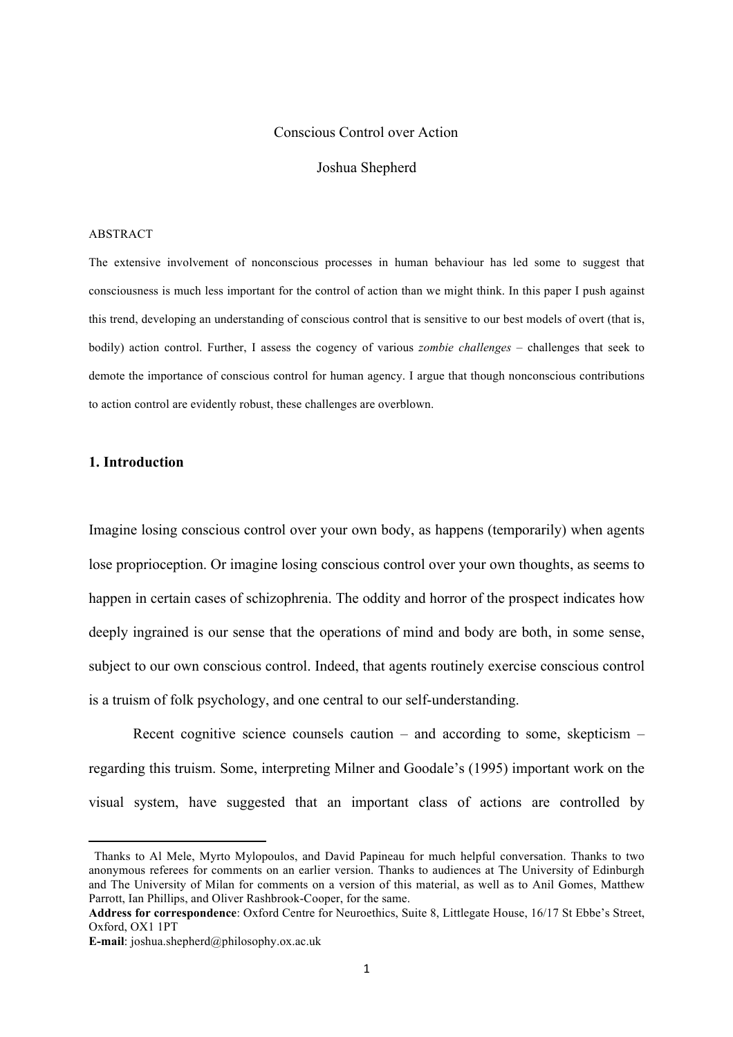# Conscious Control over Action

#### Joshua Shepherd

#### ABSTRACT

The extensive involvement of nonconscious processes in human behaviour has led some to suggest that consciousness is much less important for the control of action than we might think. In this paper I push against this trend, developing an understanding of conscious control that is sensitive to our best models of overt (that is, bodily) action control. Further, I assess the cogency of various *zombie challenges* – challenges that seek to demote the importance of conscious control for human agency. I argue that though nonconscious contributions to action control are evidently robust, these challenges are overblown.

## **1. Introduction**

Imagine losing conscious control over your own body, as happens (temporarily) when agents lose proprioception. Or imagine losing conscious control over your own thoughts, as seems to happen in certain cases of schizophrenia. The oddity and horror of the prospect indicates how deeply ingrained is our sense that the operations of mind and body are both, in some sense, subject to our own conscious control. Indeed, that agents routinely exercise conscious control is a truism of folk psychology, and one central to our self-understanding.

Recent cognitive science counsels caution – and according to some, skepticism – regarding this truism. Some, interpreting Milner and Goodale's (1995) important work on the visual system, have suggested that an important class of actions are controlled by

Thanks to Al Mele, Myrto Mylopoulos, and David Papineau for much helpful conversation. Thanks to two anonymous referees for comments on an earlier version. Thanks to audiences at The University of Edinburgh and The University of Milan for comments on a version of this material, as well as to Anil Gomes, Matthew Parrott, Ian Phillips, and Oliver Rashbrook-Cooper, for the same.

**Address for correspondence**: Oxford Centre for Neuroethics, Suite 8, Littlegate House, 16/17 St Ebbe's Street, Oxford, OX1 1PT

**E-mail**: joshua.shepherd@philosophy.ox.ac.uk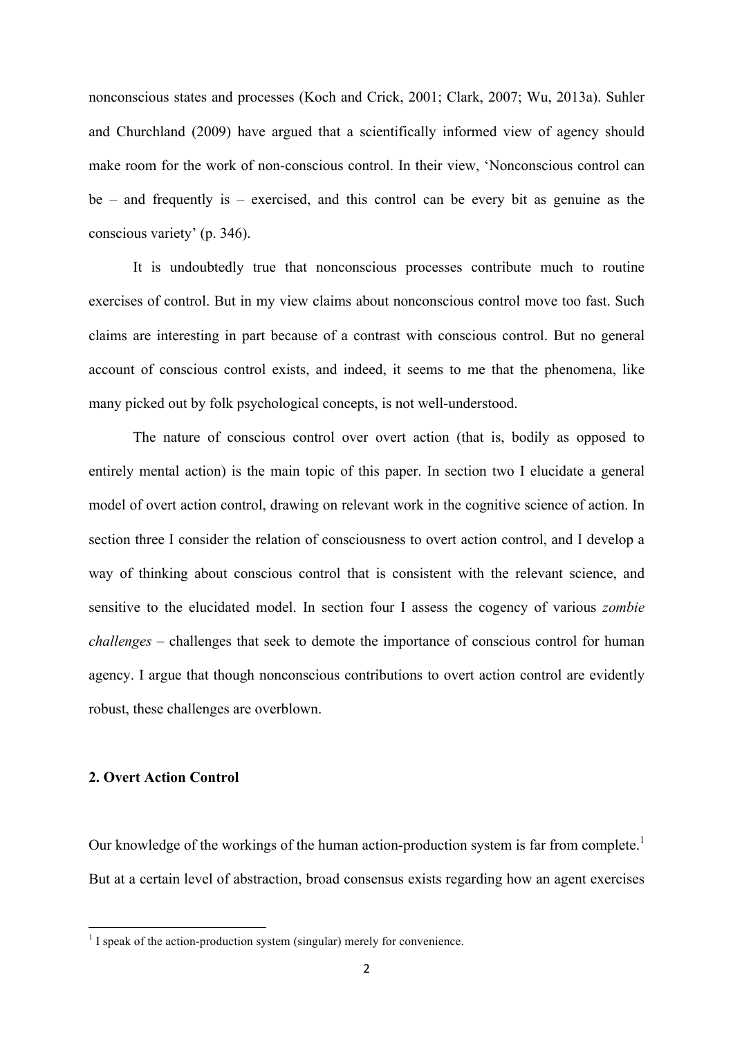nonconscious states and processes (Koch and Crick, 2001; Clark, 2007; Wu, 2013a). Suhler and Churchland (2009) have argued that a scientifically informed view of agency should make room for the work of non-conscious control. In their view, 'Nonconscious control can be – and frequently is – exercised, and this control can be every bit as genuine as the conscious variety' (p. 346).

It is undoubtedly true that nonconscious processes contribute much to routine exercises of control. But in my view claims about nonconscious control move too fast. Such claims are interesting in part because of a contrast with conscious control. But no general account of conscious control exists, and indeed, it seems to me that the phenomena, like many picked out by folk psychological concepts, is not well-understood.

The nature of conscious control over overt action (that is, bodily as opposed to entirely mental action) is the main topic of this paper. In section two I elucidate a general model of overt action control, drawing on relevant work in the cognitive science of action. In section three I consider the relation of consciousness to overt action control, and I develop a way of thinking about conscious control that is consistent with the relevant science, and sensitive to the elucidated model. In section four I assess the cogency of various *zombie challenges* – challenges that seek to demote the importance of conscious control for human agency. I argue that though nonconscious contributions to overt action control are evidently robust, these challenges are overblown.

# **2. Overt Action Control**

<u> 1989 - Johann Stein, fransk politiker (d. 1989)</u>

Our knowledge of the workings of the human action-production system is far from complete.<sup>1</sup> But at a certain level of abstraction, broad consensus exists regarding how an agent exercises

 $<sup>1</sup>$  I speak of the action-production system (singular) merely for convenience.</sup>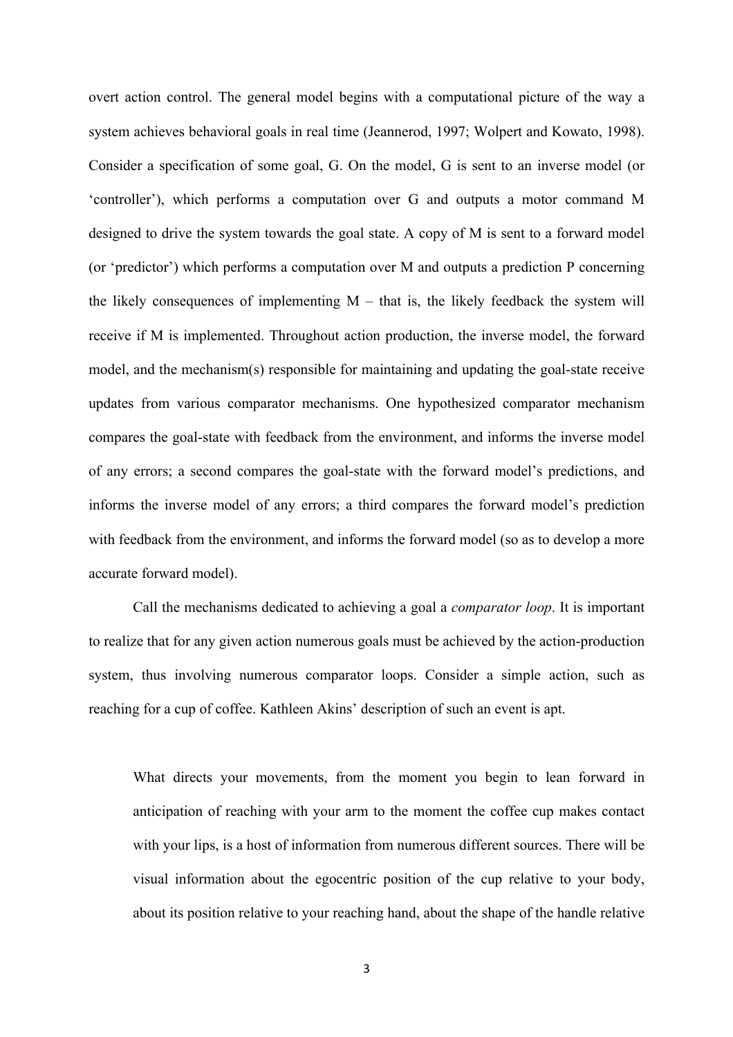overt action control. The general model begins with a computational picture of the way a system achieves behavioral goals in real time (Jeannerod, 1997; Wolpert and Kowato, 1998). Consider a specification of some goal, G. On the model, G is sent to an inverse model (or 'controller'), which performs a computation over G and outputs a motor command M designed to drive the system towards the goal state. A copy of M is sent to a forward model (or 'predictor') which performs a computation over M and outputs a prediction P concerning the likely consequences of implementing  $M -$  that is, the likely feedback the system will receive if M is implemented. Throughout action production, the inverse model, the forward model, and the mechanism(s) responsible for maintaining and updating the goal-state receive updates from various comparator mechanisms. One hypothesized comparator mechanism compares the goal-state with feedback from the environment, and informs the inverse model of any errors; a second compares the goal-state with the forward model's predictions, and informs the inverse model of any errors; a third compares the forward model's prediction with feedback from the environment, and informs the forward model (so as to develop a more accurate forward model).

Call the mechanisms dedicated to achieving a goal a *comparator loop*. It is important to realize that for any given action numerous goals must be achieved by the action-production system, thus involving numerous comparator loops. Consider a simple action, such as reaching for a cup of coffee. Kathleen Akins' description of such an event is apt.

What directs your movements, from the moment you begin to lean forward in anticipation of reaching with your arm to the moment the coffee cup makes contact with your lips, is a host of information from numerous different sources. There will be visual information about the egocentric position of the cup relative to your body, about its position relative to your reaching hand, about the shape of the handle relative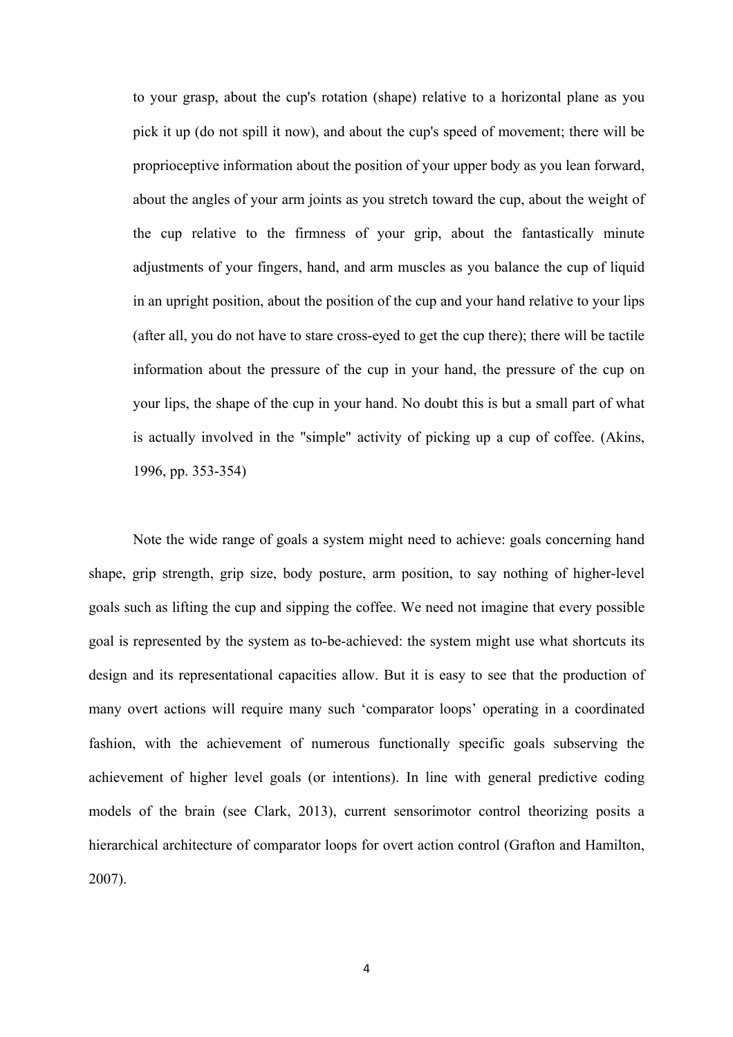to your grasp, about the cup's rotation (shape) relative to a horizontal plane as you pick it up (do not spill it now), and about the cup's speed of movement; there will be proprioceptive information about the position of your upper body as you lean forward, about the angles of your arm joints as you stretch toward the cup, about the weight of the cup relative to the firmness of your grip, about the fantastically minute adjustments of your fingers, hand, and arm muscles as you balance the cup of liquid in an upright position, about the position of the cup and your hand relative to your lips (after all, you do not have to stare cross-eyed to get the cup there); there will be tactile information about the pressure of the cup in your hand, the pressure of the cup on your lips, the shape of the cup in your hand. No doubt this is but a small part of what is actually involved in the "simple" activity of picking up a cup of coffee. (Akins, 1996, pp. 353-354)

Note the wide range of goals a system might need to achieve: goals concerning hand shape, grip strength, grip size, body posture, arm position, to say nothing of higher-level goals such as lifting the cup and sipping the coffee. We need not imagine that every possible goal is represented by the system as to-be-achieved: the system might use what shortcuts its design and its representational capacities allow. But it is easy to see that the production of many overt actions will require many such 'comparator loops' operating in a coordinated fashion, with the achievement of numerous functionally specific goals subserving the achievement of higher level goals (or intentions). In line with general predictive coding models of the brain (see Clark, 2013), current sensorimotor control theorizing posits a hierarchical architecture of comparator loops for overt action control (Grafton and Hamilton, 2007).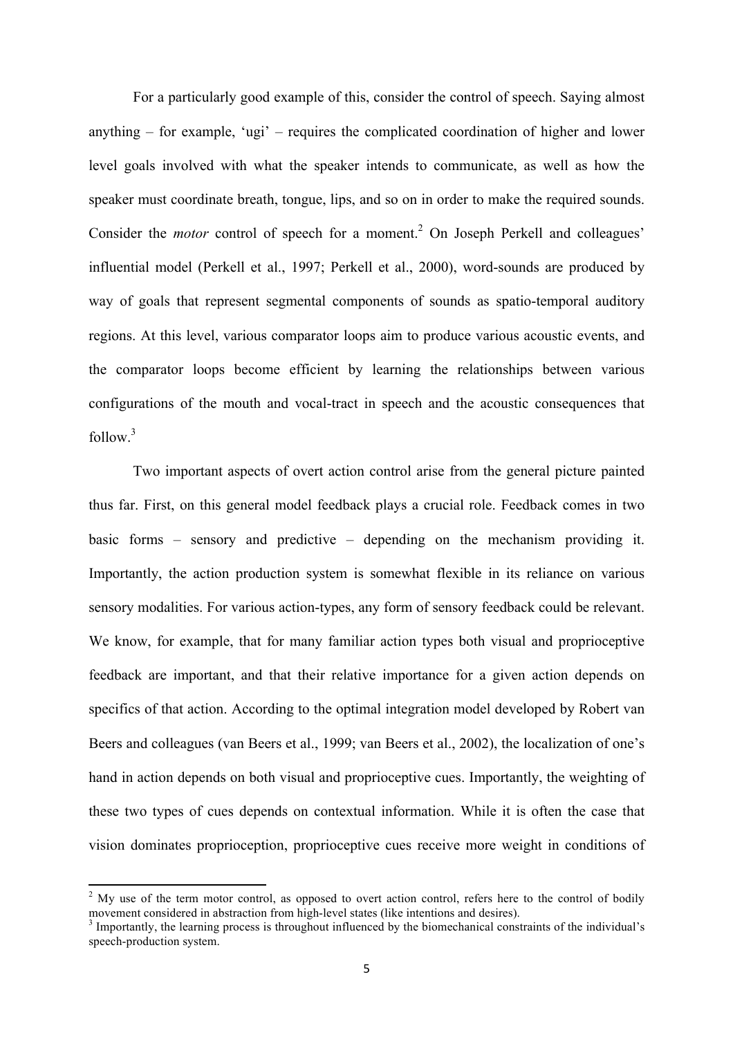For a particularly good example of this, consider the control of speech. Saying almost anything – for example, 'ugi' – requires the complicated coordination of higher and lower level goals involved with what the speaker intends to communicate, as well as how the speaker must coordinate breath, tongue, lips, and so on in order to make the required sounds. Consider the *motor* control of speech for a moment.<sup>2</sup> On Joseph Perkell and colleagues' influential model (Perkell et al., 1997; Perkell et al., 2000), word-sounds are produced by way of goals that represent segmental components of sounds as spatio-temporal auditory regions. At this level, various comparator loops aim to produce various acoustic events, and the comparator loops become efficient by learning the relationships between various configurations of the mouth and vocal-tract in speech and the acoustic consequences that follow. 3

Two important aspects of overt action control arise from the general picture painted thus far. First, on this general model feedback plays a crucial role. Feedback comes in two basic forms – sensory and predictive – depending on the mechanism providing it. Importantly, the action production system is somewhat flexible in its reliance on various sensory modalities. For various action-types, any form of sensory feedback could be relevant. We know, for example, that for many familiar action types both visual and proprioceptive feedback are important, and that their relative importance for a given action depends on specifics of that action. According to the optimal integration model developed by Robert van Beers and colleagues (van Beers et al., 1999; van Beers et al., 2002), the localization of one's hand in action depends on both visual and proprioceptive cues. Importantly, the weighting of these two types of cues depends on contextual information. While it is often the case that vision dominates proprioception, proprioceptive cues receive more weight in conditions of

 

<sup>&</sup>lt;sup>2</sup> My use of the term motor control, as opposed to overt action control, refers here to the control of bodily movement considered in abstraction from high-level states (like intentions and desires).<br> $3$  Importantly, the learning process is throughout influenced by the biomechanical constraints of the individual's

speech-production system.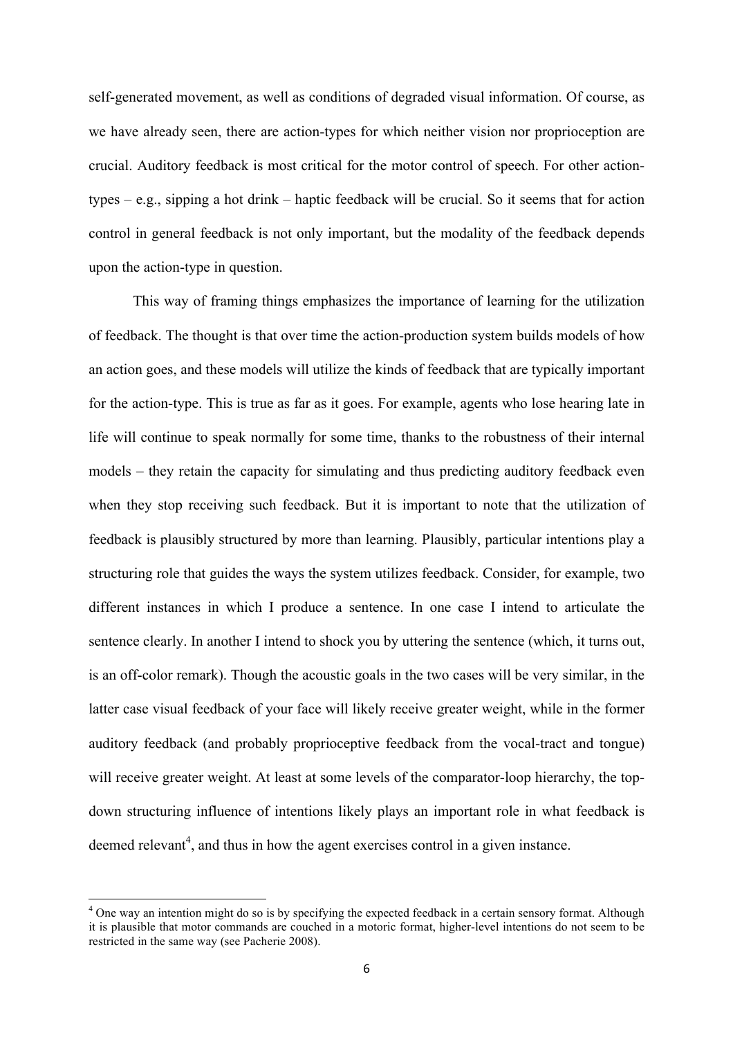self-generated movement, as well as conditions of degraded visual information. Of course, as we have already seen, there are action-types for which neither vision nor proprioception are crucial. Auditory feedback is most critical for the motor control of speech. For other actiontypes – e.g., sipping a hot drink – haptic feedback will be crucial. So it seems that for action control in general feedback is not only important, but the modality of the feedback depends upon the action-type in question.

This way of framing things emphasizes the importance of learning for the utilization of feedback. The thought is that over time the action-production system builds models of how an action goes, and these models will utilize the kinds of feedback that are typically important for the action-type. This is true as far as it goes. For example, agents who lose hearing late in life will continue to speak normally for some time, thanks to the robustness of their internal models – they retain the capacity for simulating and thus predicting auditory feedback even when they stop receiving such feedback. But it is important to note that the utilization of feedback is plausibly structured by more than learning. Plausibly, particular intentions play a structuring role that guides the ways the system utilizes feedback. Consider, for example, two different instances in which I produce a sentence. In one case I intend to articulate the sentence clearly. In another I intend to shock you by uttering the sentence (which, it turns out, is an off-color remark). Though the acoustic goals in the two cases will be very similar, in the latter case visual feedback of your face will likely receive greater weight, while in the former auditory feedback (and probably proprioceptive feedback from the vocal-tract and tongue) will receive greater weight. At least at some levels of the comparator-loop hierarchy, the topdown structuring influence of intentions likely plays an important role in what feedback is deemed relevant<sup>4</sup>, and thus in how the agent exercises control in a given instance.

<sup>&</sup>lt;sup>4</sup> One way an intention might do so is by specifying the expected feedback in a certain sensory format. Although it is plausible that motor commands are couched in a motoric format, higher-level intentions do not seem to be restricted in the same way (see Pacherie 2008).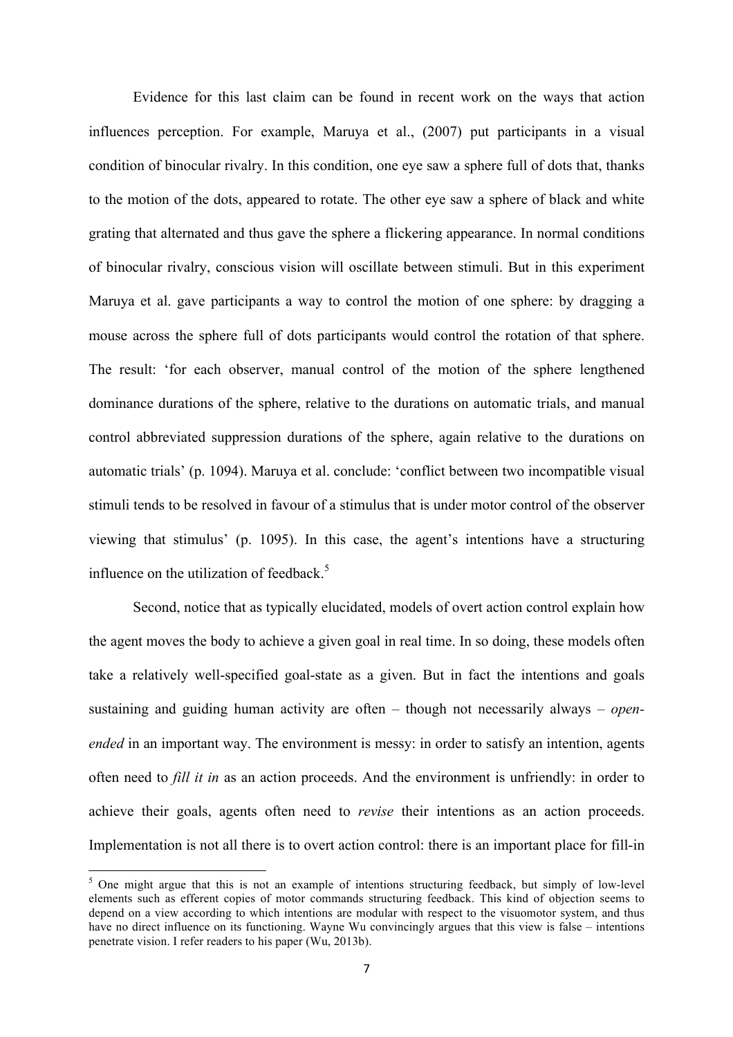Evidence for this last claim can be found in recent work on the ways that action influences perception. For example, Maruya et al., (2007) put participants in a visual condition of binocular rivalry. In this condition, one eye saw a sphere full of dots that, thanks to the motion of the dots, appeared to rotate. The other eye saw a sphere of black and white grating that alternated and thus gave the sphere a flickering appearance. In normal conditions of binocular rivalry, conscious vision will oscillate between stimuli. But in this experiment Maruya et al. gave participants a way to control the motion of one sphere: by dragging a mouse across the sphere full of dots participants would control the rotation of that sphere. The result: 'for each observer, manual control of the motion of the sphere lengthened dominance durations of the sphere, relative to the durations on automatic trials, and manual control abbreviated suppression durations of the sphere, again relative to the durations on automatic trials' (p. 1094). Maruya et al. conclude: 'conflict between two incompatible visual stimuli tends to be resolved in favour of a stimulus that is under motor control of the observer viewing that stimulus' (p. 1095). In this case, the agent's intentions have a structuring influence on the utilization of feedback. $5$ 

Second, notice that as typically elucidated, models of overt action control explain how the agent moves the body to achieve a given goal in real time. In so doing, these models often take a relatively well-specified goal-state as a given. But in fact the intentions and goals sustaining and guiding human activity are often – though not necessarily always – *openended* in an important way. The environment is messy: in order to satisfy an intention, agents often need to *fill it in* as an action proceeds. And the environment is unfriendly: in order to achieve their goals, agents often need to *revise* their intentions as an action proceeds. Implementation is not all there is to overt action control: there is an important place for fill-in

 $<sup>5</sup>$  One might argue that this is not an example of intentions structuring feedback, but simply of low-level</sup> elements such as efferent copies of motor commands structuring feedback. This kind of objection seems to depend on a view according to which intentions are modular with respect to the visuomotor system, and thus have no direct influence on its functioning. Wayne Wu convincingly argues that this view is false – intentions penetrate vision. I refer readers to his paper (Wu, 2013b).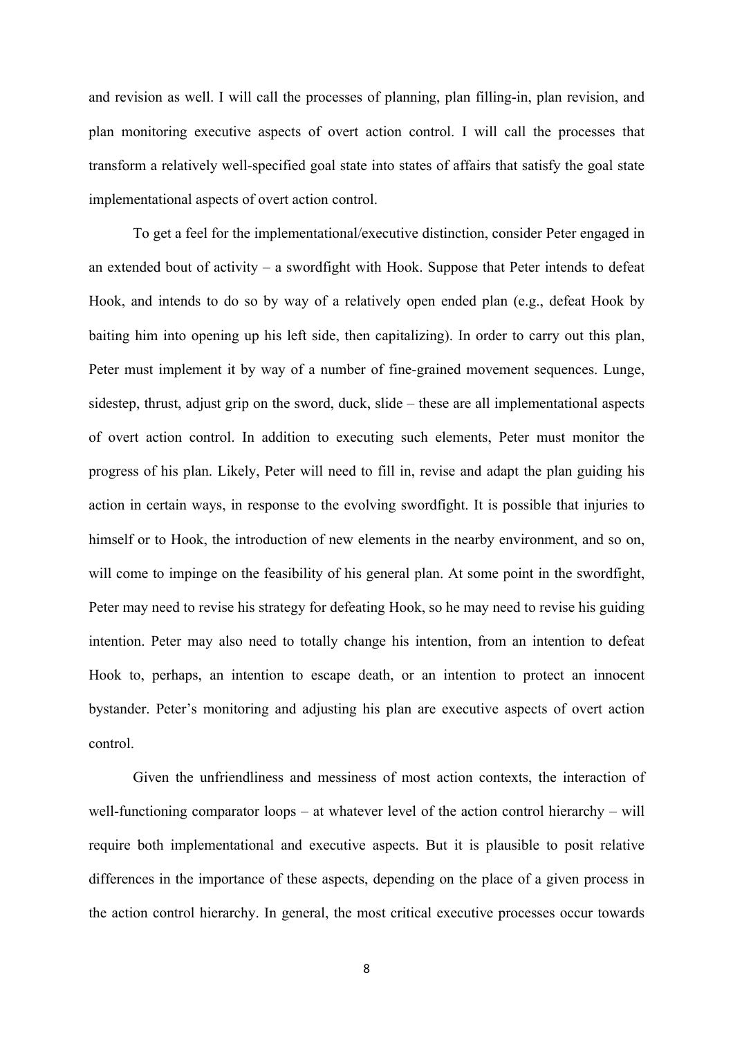and revision as well. I will call the processes of planning, plan filling-in, plan revision, and plan monitoring executive aspects of overt action control. I will call the processes that transform a relatively well-specified goal state into states of affairs that satisfy the goal state implementational aspects of overt action control.

To get a feel for the implementational/executive distinction, consider Peter engaged in an extended bout of activity – a swordfight with Hook. Suppose that Peter intends to defeat Hook, and intends to do so by way of a relatively open ended plan (e.g., defeat Hook by baiting him into opening up his left side, then capitalizing). In order to carry out this plan, Peter must implement it by way of a number of fine-grained movement sequences. Lunge, sidestep, thrust, adjust grip on the sword, duck, slide – these are all implementational aspects of overt action control. In addition to executing such elements, Peter must monitor the progress of his plan. Likely, Peter will need to fill in, revise and adapt the plan guiding his action in certain ways, in response to the evolving swordfight. It is possible that injuries to himself or to Hook, the introduction of new elements in the nearby environment, and so on, will come to impinge on the feasibility of his general plan. At some point in the swordfight, Peter may need to revise his strategy for defeating Hook, so he may need to revise his guiding intention. Peter may also need to totally change his intention, from an intention to defeat Hook to, perhaps, an intention to escape death, or an intention to protect an innocent bystander. Peter's monitoring and adjusting his plan are executive aspects of overt action control.

Given the unfriendliness and messiness of most action contexts, the interaction of well-functioning comparator loops – at whatever level of the action control hierarchy – will require both implementational and executive aspects. But it is plausible to posit relative differences in the importance of these aspects, depending on the place of a given process in the action control hierarchy. In general, the most critical executive processes occur towards

8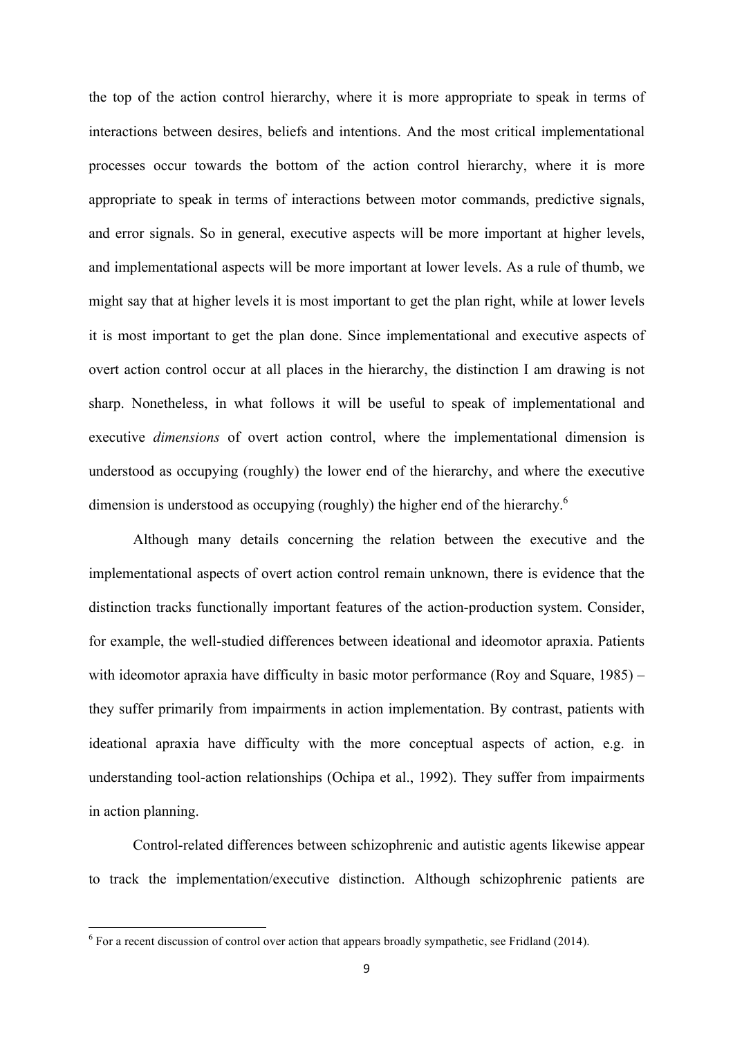the top of the action control hierarchy, where it is more appropriate to speak in terms of interactions between desires, beliefs and intentions. And the most critical implementational processes occur towards the bottom of the action control hierarchy, where it is more appropriate to speak in terms of interactions between motor commands, predictive signals, and error signals. So in general, executive aspects will be more important at higher levels, and implementational aspects will be more important at lower levels. As a rule of thumb, we might say that at higher levels it is most important to get the plan right, while at lower levels it is most important to get the plan done. Since implementational and executive aspects of overt action control occur at all places in the hierarchy, the distinction I am drawing is not sharp. Nonetheless, in what follows it will be useful to speak of implementational and executive *dimensions* of overt action control, where the implementational dimension is understood as occupying (roughly) the lower end of the hierarchy, and where the executive dimension is understood as occupying (roughly) the higher end of the hierarchy.<sup>6</sup>

Although many details concerning the relation between the executive and the implementational aspects of overt action control remain unknown, there is evidence that the distinction tracks functionally important features of the action-production system. Consider, for example, the well-studied differences between ideational and ideomotor apraxia. Patients with ideomotor apraxia have difficulty in basic motor performance (Roy and Square, 1985) – they suffer primarily from impairments in action implementation. By contrast, patients with ideational apraxia have difficulty with the more conceptual aspects of action, e.g. in understanding tool-action relationships (Ochipa et al., 1992). They suffer from impairments in action planning.

Control-related differences between schizophrenic and autistic agents likewise appear to track the implementation/executive distinction. Although schizophrenic patients are

 $6$  For a recent discussion of control over action that appears broadly sympathetic, see Fridland (2014).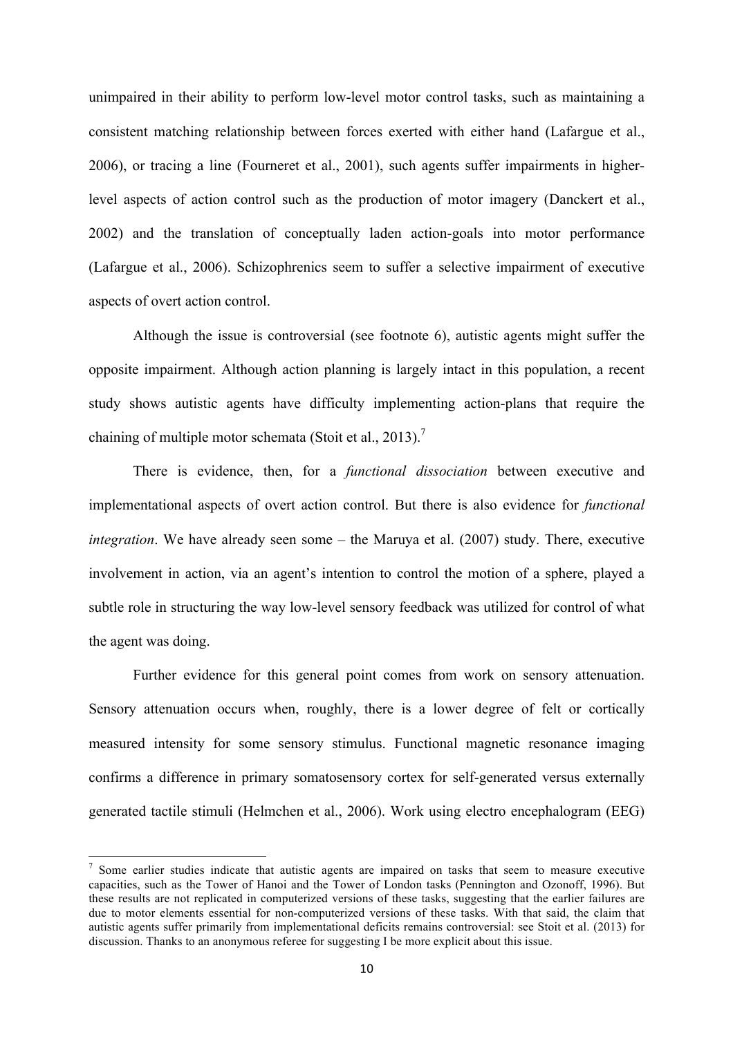unimpaired in their ability to perform low-level motor control tasks, such as maintaining a consistent matching relationship between forces exerted with either hand (Lafargue et al., 2006), or tracing a line (Fourneret et al., 2001), such agents suffer impairments in higherlevel aspects of action control such as the production of motor imagery (Danckert et al., 2002) and the translation of conceptually laden action-goals into motor performance (Lafargue et al., 2006). Schizophrenics seem to suffer a selective impairment of executive aspects of overt action control.

Although the issue is controversial (see footnote 6), autistic agents might suffer the opposite impairment. Although action planning is largely intact in this population, a recent study shows autistic agents have difficulty implementing action-plans that require the chaining of multiple motor schemata (Stoit et al., 2013).<sup>7</sup>

There is evidence, then, for a *functional dissociation* between executive and implementational aspects of overt action control. But there is also evidence for *functional integration*. We have already seen some – the Maruya et al. (2007) study. There, executive involvement in action, via an agent's intention to control the motion of a sphere, played a subtle role in structuring the way low-level sensory feedback was utilized for control of what the agent was doing.

Further evidence for this general point comes from work on sensory attenuation. Sensory attenuation occurs when, roughly, there is a lower degree of felt or cortically measured intensity for some sensory stimulus. Functional magnetic resonance imaging confirms a difference in primary somatosensory cortex for self-generated versus externally generated tactile stimuli (Helmchen et al., 2006). Work using electro encephalogram (EEG)

 $<sup>7</sup>$  Some earlier studies indicate that autistic agents are impaired on tasks that seem to measure executive</sup> capacities, such as the Tower of Hanoi and the Tower of London tasks (Pennington and Ozonoff, 1996). But these results are not replicated in computerized versions of these tasks, suggesting that the earlier failures are due to motor elements essential for non-computerized versions of these tasks. With that said, the claim that autistic agents suffer primarily from implementational deficits remains controversial: see Stoit et al. (2013) for discussion. Thanks to an anonymous referee for suggesting I be more explicit about this issue.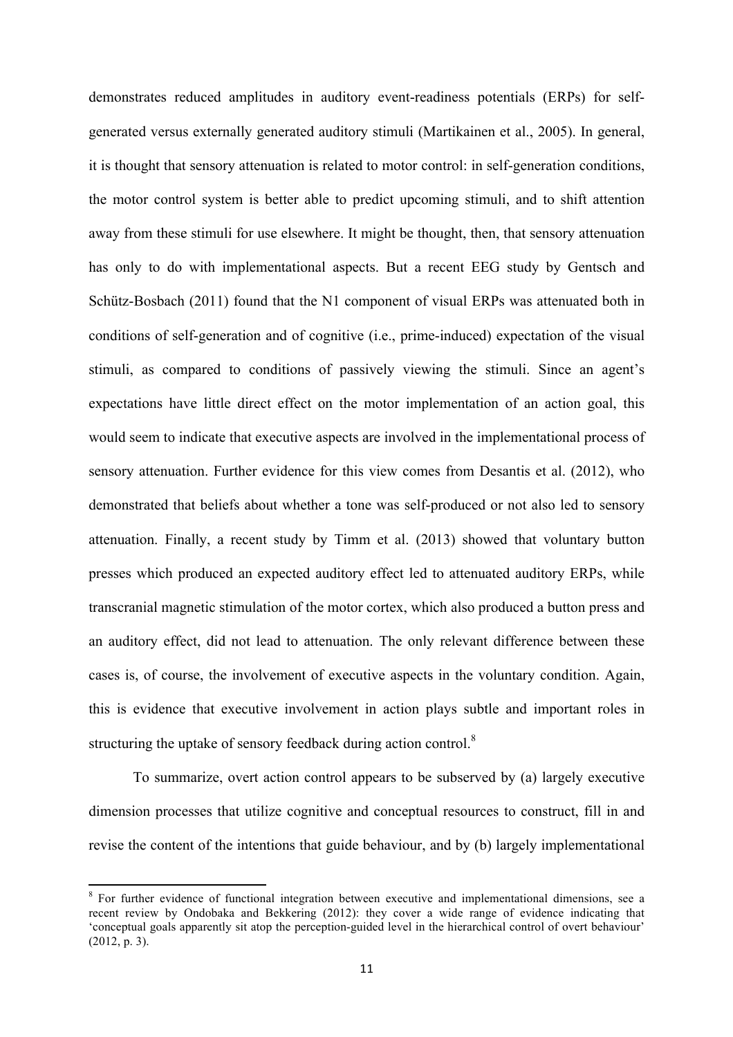demonstrates reduced amplitudes in auditory event-readiness potentials (ERPs) for selfgenerated versus externally generated auditory stimuli (Martikainen et al., 2005). In general, it is thought that sensory attenuation is related to motor control: in self-generation conditions, the motor control system is better able to predict upcoming stimuli, and to shift attention away from these stimuli for use elsewhere. It might be thought, then, that sensory attenuation has only to do with implementational aspects. But a recent EEG study by Gentsch and Schütz-Bosbach (2011) found that the N1 component of visual ERPs was attenuated both in conditions of self-generation and of cognitive (i.e., prime-induced) expectation of the visual stimuli, as compared to conditions of passively viewing the stimuli. Since an agent's expectations have little direct effect on the motor implementation of an action goal, this would seem to indicate that executive aspects are involved in the implementational process of sensory attenuation. Further evidence for this view comes from Desantis et al. (2012), who demonstrated that beliefs about whether a tone was self-produced or not also led to sensory attenuation. Finally, a recent study by Timm et al. (2013) showed that voluntary button presses which produced an expected auditory effect led to attenuated auditory ERPs, while transcranial magnetic stimulation of the motor cortex, which also produced a button press and an auditory effect, did not lead to attenuation. The only relevant difference between these cases is, of course, the involvement of executive aspects in the voluntary condition. Again, this is evidence that executive involvement in action plays subtle and important roles in structuring the uptake of sensory feedback during action control.<sup>8</sup>

To summarize, overt action control appears to be subserved by (a) largely executive dimension processes that utilize cognitive and conceptual resources to construct, fill in and revise the content of the intentions that guide behaviour, and by (b) largely implementational

 

<sup>&</sup>lt;sup>8</sup> For further evidence of functional integration between executive and implementational dimensions, see a recent review by Ondobaka and Bekkering (2012): they cover a wide range of evidence indicating that 'conceptual goals apparently sit atop the perception-guided level in the hierarchical control of overt behaviour' (2012, p. 3).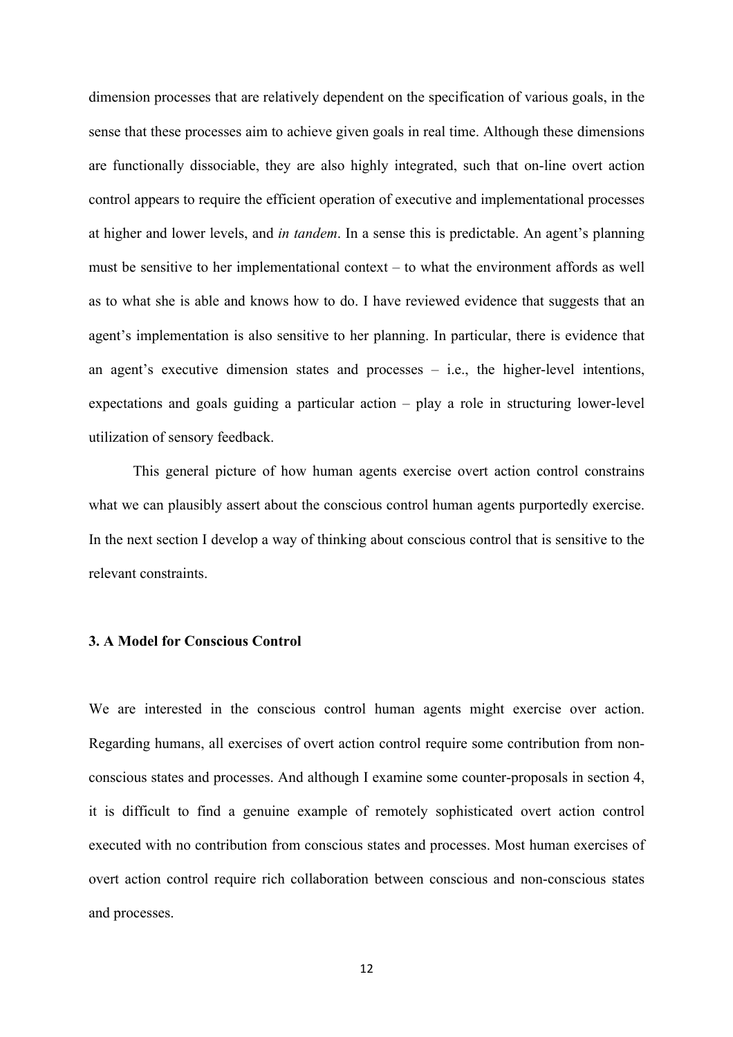dimension processes that are relatively dependent on the specification of various goals, in the sense that these processes aim to achieve given goals in real time. Although these dimensions are functionally dissociable, they are also highly integrated, such that on-line overt action control appears to require the efficient operation of executive and implementational processes at higher and lower levels, and *in tandem*. In a sense this is predictable. An agent's planning must be sensitive to her implementational context – to what the environment affords as well as to what she is able and knows how to do. I have reviewed evidence that suggests that an agent's implementation is also sensitive to her planning. In particular, there is evidence that an agent's executive dimension states and processes – i.e., the higher-level intentions, expectations and goals guiding a particular action – play a role in structuring lower-level utilization of sensory feedback.

This general picture of how human agents exercise overt action control constrains what we can plausibly assert about the conscious control human agents purportedly exercise. In the next section I develop a way of thinking about conscious control that is sensitive to the relevant constraints.

# **3. A Model for Conscious Control**

We are interested in the conscious control human agents might exercise over action. Regarding humans, all exercises of overt action control require some contribution from nonconscious states and processes. And although I examine some counter-proposals in section 4, it is difficult to find a genuine example of remotely sophisticated overt action control executed with no contribution from conscious states and processes. Most human exercises of overt action control require rich collaboration between conscious and non-conscious states and processes.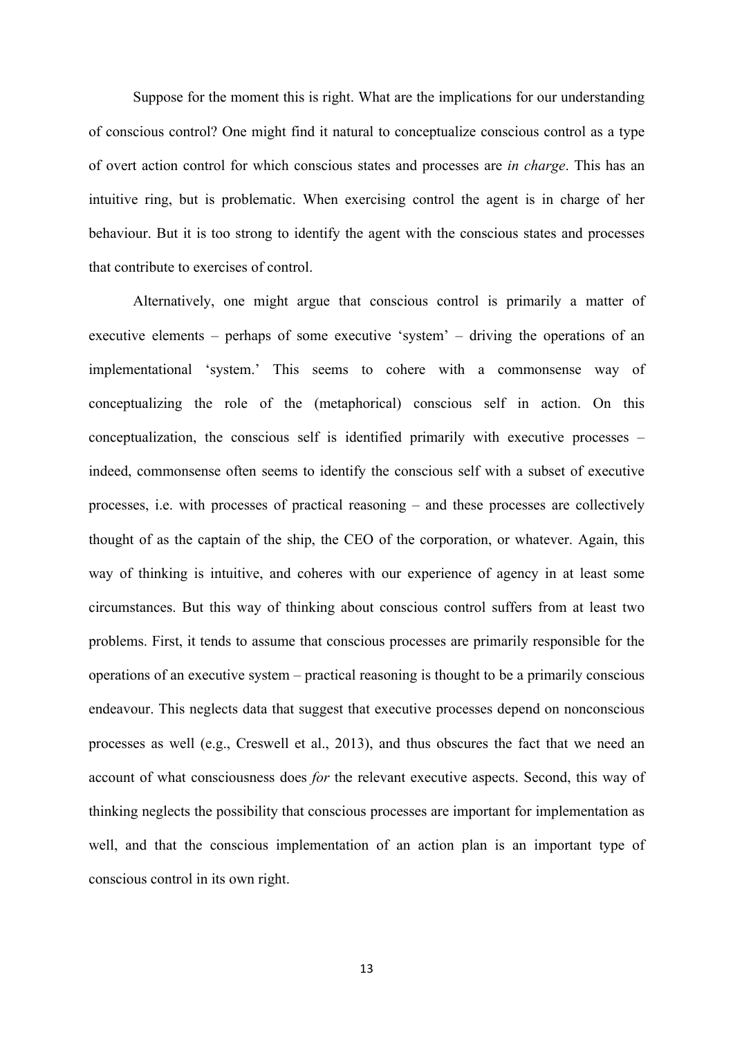Suppose for the moment this is right. What are the implications for our understanding of conscious control? One might find it natural to conceptualize conscious control as a type of overt action control for which conscious states and processes are *in charge*. This has an intuitive ring, but is problematic. When exercising control the agent is in charge of her behaviour. But it is too strong to identify the agent with the conscious states and processes that contribute to exercises of control.

Alternatively, one might argue that conscious control is primarily a matter of executive elements – perhaps of some executive 'system' – driving the operations of an implementational 'system.' This seems to cohere with a commonsense way of conceptualizing the role of the (metaphorical) conscious self in action. On this conceptualization, the conscious self is identified primarily with executive processes – indeed, commonsense often seems to identify the conscious self with a subset of executive processes, i.e. with processes of practical reasoning – and these processes are collectively thought of as the captain of the ship, the CEO of the corporation, or whatever. Again, this way of thinking is intuitive, and coheres with our experience of agency in at least some circumstances. But this way of thinking about conscious control suffers from at least two problems. First, it tends to assume that conscious processes are primarily responsible for the operations of an executive system – practical reasoning is thought to be a primarily conscious endeavour. This neglects data that suggest that executive processes depend on nonconscious processes as well (e.g., Creswell et al., 2013), and thus obscures the fact that we need an account of what consciousness does *for* the relevant executive aspects. Second, this way of thinking neglects the possibility that conscious processes are important for implementation as well, and that the conscious implementation of an action plan is an important type of conscious control in its own right.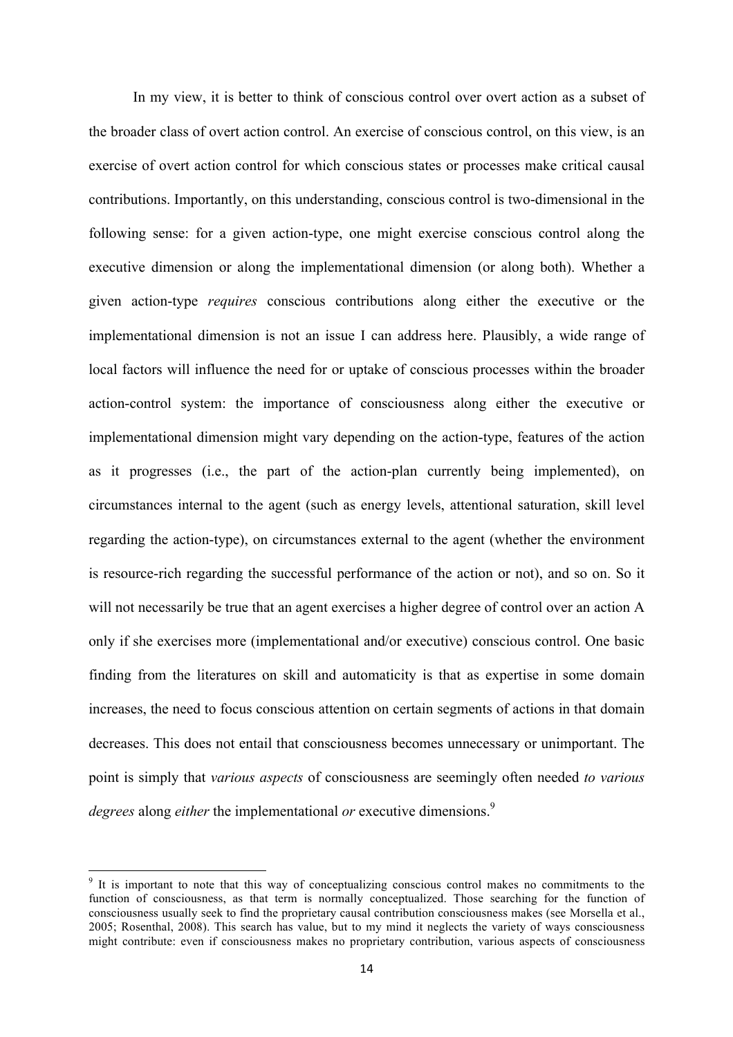In my view, it is better to think of conscious control over overt action as a subset of the broader class of overt action control. An exercise of conscious control, on this view, is an exercise of overt action control for which conscious states or processes make critical causal contributions. Importantly, on this understanding, conscious control is two-dimensional in the following sense: for a given action-type, one might exercise conscious control along the executive dimension or along the implementational dimension (or along both). Whether a given action-type *requires* conscious contributions along either the executive or the implementational dimension is not an issue I can address here. Plausibly, a wide range of local factors will influence the need for or uptake of conscious processes within the broader action-control system: the importance of consciousness along either the executive or implementational dimension might vary depending on the action-type, features of the action as it progresses (i.e., the part of the action-plan currently being implemented), on circumstances internal to the agent (such as energy levels, attentional saturation, skill level regarding the action-type), on circumstances external to the agent (whether the environment is resource-rich regarding the successful performance of the action or not), and so on. So it will not necessarily be true that an agent exercises a higher degree of control over an action A only if she exercises more (implementational and/or executive) conscious control. One basic finding from the literatures on skill and automaticity is that as expertise in some domain increases, the need to focus conscious attention on certain segments of actions in that domain decreases. This does not entail that consciousness becomes unnecessary or unimportant. The point is simply that *various aspects* of consciousness are seemingly often needed *to various degrees* along *either* the implementational *or* executive dimensions.<sup>9</sup>

<sup>&</sup>lt;sup>9</sup> It is important to note that this way of conceptualizing conscious control makes no commitments to the function of consciousness, as that term is normally conceptualized. Those searching for the function of consciousness usually seek to find the proprietary causal contribution consciousness makes (see Morsella et al., 2005; Rosenthal, 2008). This search has value, but to my mind it neglects the variety of ways consciousness might contribute: even if consciousness makes no proprietary contribution, various aspects of consciousness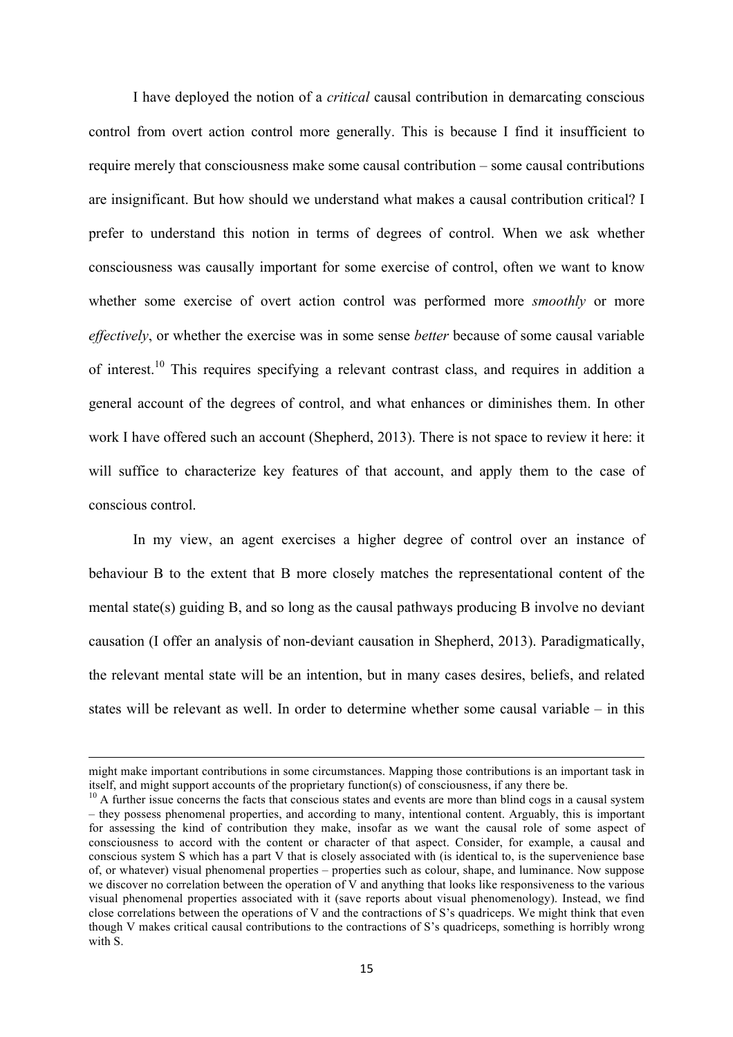I have deployed the notion of a *critical* causal contribution in demarcating conscious control from overt action control more generally. This is because I find it insufficient to require merely that consciousness make some causal contribution – some causal contributions are insignificant. But how should we understand what makes a causal contribution critical? I prefer to understand this notion in terms of degrees of control. When we ask whether consciousness was causally important for some exercise of control, often we want to know whether some exercise of overt action control was performed more *smoothly* or more *effectively*, or whether the exercise was in some sense *better* because of some causal variable of interest.<sup>10</sup> This requires specifying a relevant contrast class, and requires in addition a general account of the degrees of control, and what enhances or diminishes them. In other work I have offered such an account (Shepherd, 2013). There is not space to review it here: it will suffice to characterize key features of that account, and apply them to the case of conscious control.

In my view, an agent exercises a higher degree of control over an instance of behaviour B to the extent that B more closely matches the representational content of the mental state(s) guiding B, and so long as the causal pathways producing B involve no deviant causation (I offer an analysis of non-deviant causation in Shepherd, 2013). Paradigmatically, the relevant mental state will be an intention, but in many cases desires, beliefs, and related states will be relevant as well. In order to determine whether some causal variable – in this

<sup>&</sup>lt;u> 1989 - Johann Stoff, fransk politik (f. 1989)</u> might make important contributions in some circumstances. Mapping those contributions is an important task in itself, and might support accounts of the proprietary function(s) of consciousness, if any there be.

 $10$  A further issue concerns the facts that conscious states and events are more than blind cogs in a causal system – they possess phenomenal properties, and according to many, intentional content. Arguably, this is important for assessing the kind of contribution they make, insofar as we want the causal role of some aspect of consciousness to accord with the content or character of that aspect. Consider, for example, a causal and conscious system S which has a part V that is closely associated with (is identical to, is the supervenience base of, or whatever) visual phenomenal properties – properties such as colour, shape, and luminance. Now suppose we discover no correlation between the operation of V and anything that looks like responsiveness to the various visual phenomenal properties associated with it (save reports about visual phenomenology). Instead, we find close correlations between the operations of V and the contractions of S's quadriceps. We might think that even though V makes critical causal contributions to the contractions of S's quadriceps, something is horribly wrong with S.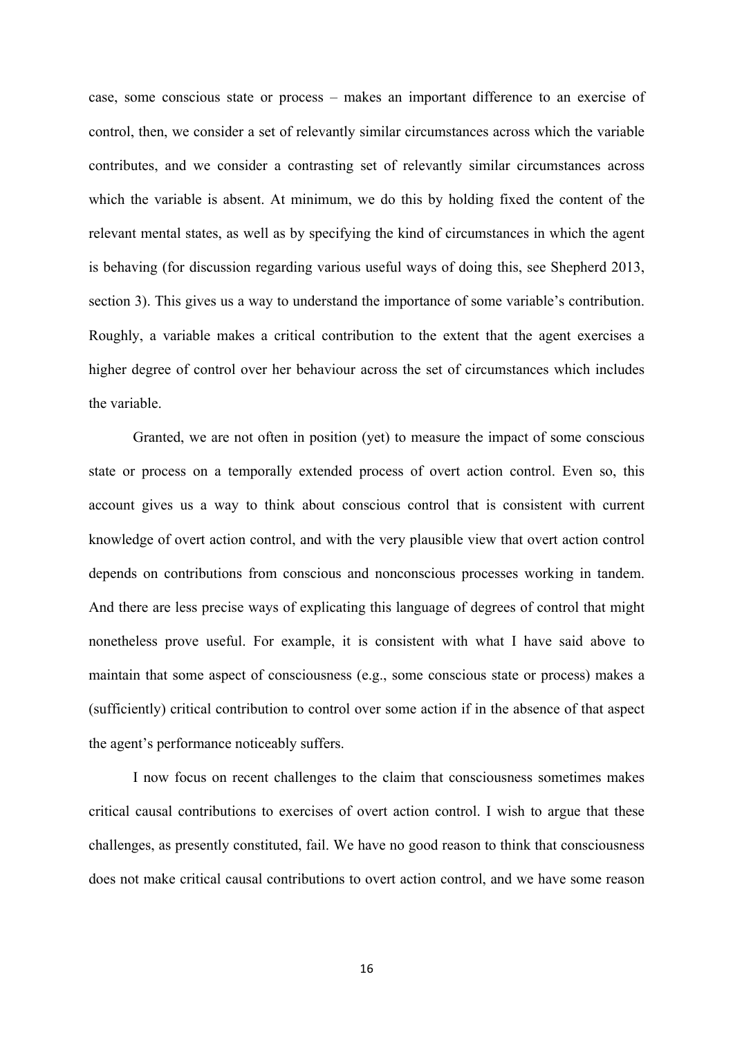case, some conscious state or process – makes an important difference to an exercise of control, then, we consider a set of relevantly similar circumstances across which the variable contributes, and we consider a contrasting set of relevantly similar circumstances across which the variable is absent. At minimum, we do this by holding fixed the content of the relevant mental states, as well as by specifying the kind of circumstances in which the agent is behaving (for discussion regarding various useful ways of doing this, see Shepherd 2013, section 3). This gives us a way to understand the importance of some variable's contribution. Roughly, a variable makes a critical contribution to the extent that the agent exercises a higher degree of control over her behaviour across the set of circumstances which includes the variable.

Granted, we are not often in position (yet) to measure the impact of some conscious state or process on a temporally extended process of overt action control. Even so, this account gives us a way to think about conscious control that is consistent with current knowledge of overt action control, and with the very plausible view that overt action control depends on contributions from conscious and nonconscious processes working in tandem. And there are less precise ways of explicating this language of degrees of control that might nonetheless prove useful. For example, it is consistent with what I have said above to maintain that some aspect of consciousness (e.g., some conscious state or process) makes a (sufficiently) critical contribution to control over some action if in the absence of that aspect the agent's performance noticeably suffers.

I now focus on recent challenges to the claim that consciousness sometimes makes critical causal contributions to exercises of overt action control. I wish to argue that these challenges, as presently constituted, fail. We have no good reason to think that consciousness does not make critical causal contributions to overt action control, and we have some reason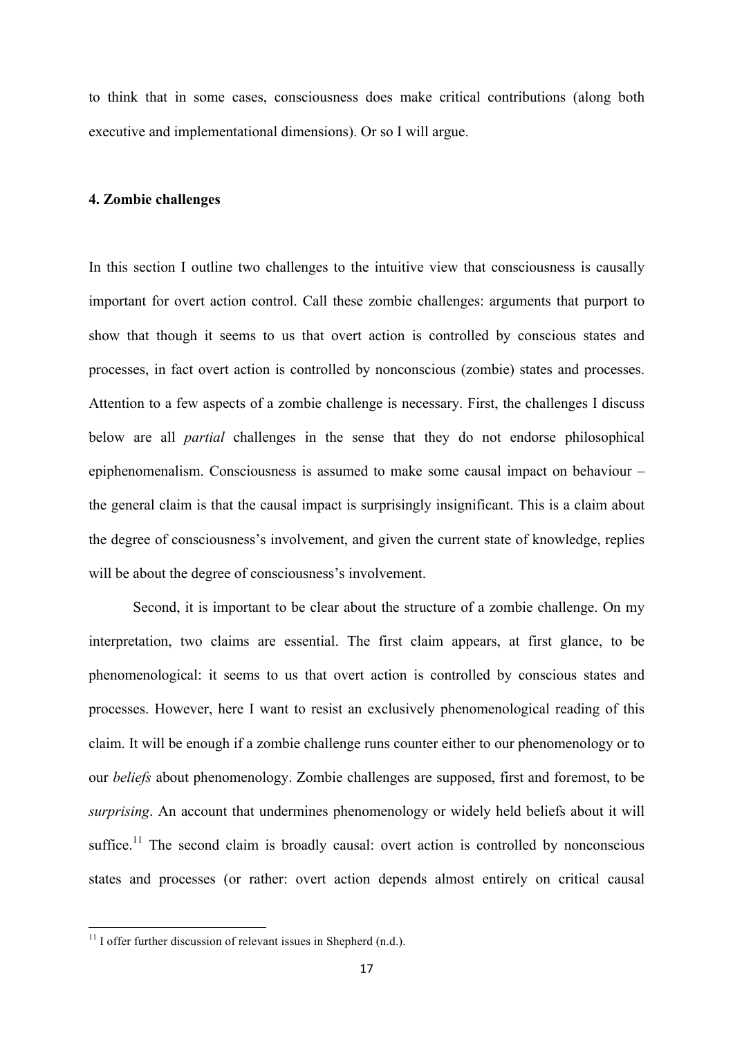to think that in some cases, consciousness does make critical contributions (along both executive and implementational dimensions). Or so I will argue.

## **4. Zombie challenges**

In this section I outline two challenges to the intuitive view that consciousness is causally important for overt action control. Call these zombie challenges: arguments that purport to show that though it seems to us that overt action is controlled by conscious states and processes, in fact overt action is controlled by nonconscious (zombie) states and processes. Attention to a few aspects of a zombie challenge is necessary. First, the challenges I discuss below are all *partial* challenges in the sense that they do not endorse philosophical epiphenomenalism. Consciousness is assumed to make some causal impact on behaviour – the general claim is that the causal impact is surprisingly insignificant. This is a claim about the degree of consciousness's involvement, and given the current state of knowledge, replies will be about the degree of consciousness's involvement.

Second, it is important to be clear about the structure of a zombie challenge. On my interpretation, two claims are essential. The first claim appears, at first glance, to be phenomenological: it seems to us that overt action is controlled by conscious states and processes. However, here I want to resist an exclusively phenomenological reading of this claim. It will be enough if a zombie challenge runs counter either to our phenomenology or to our *beliefs* about phenomenology. Zombie challenges are supposed, first and foremost, to be *surprising*. An account that undermines phenomenology or widely held beliefs about it will suffice.<sup>11</sup> The second claim is broadly causal: overt action is controlled by nonconscious states and processes (or rather: overt action depends almost entirely on critical causal

 $11$  I offer further discussion of relevant issues in Shepherd (n.d.).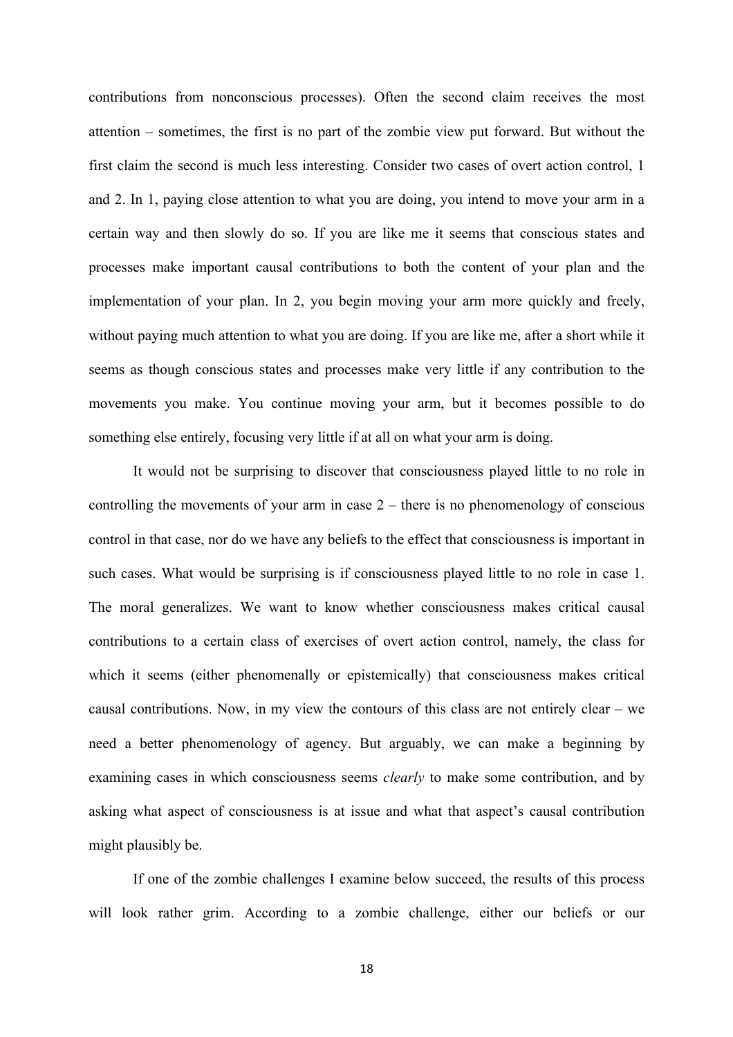contributions from nonconscious processes). Often the second claim receives the most attention – sometimes, the first is no part of the zombie view put forward. But without the first claim the second is much less interesting. Consider two cases of overt action control, 1 and 2. In 1, paying close attention to what you are doing, you intend to move your arm in a certain way and then slowly do so. If you are like me it seems that conscious states and processes make important causal contributions to both the content of your plan and the implementation of your plan. In 2, you begin moving your arm more quickly and freely, without paying much attention to what you are doing. If you are like me, after a short while it seems as though conscious states and processes make very little if any contribution to the movements you make. You continue moving your arm, but it becomes possible to do something else entirely, focusing very little if at all on what your arm is doing.

It would not be surprising to discover that consciousness played little to no role in controlling the movements of your arm in case  $2$  – there is no phenomenology of conscious control in that case, nor do we have any beliefs to the effect that consciousness is important in such cases. What would be surprising is if consciousness played little to no role in case 1. The moral generalizes. We want to know whether consciousness makes critical causal contributions to a certain class of exercises of overt action control, namely, the class for which it seems (either phenomenally or epistemically) that consciousness makes critical causal contributions. Now, in my view the contours of this class are not entirely clear – we need a better phenomenology of agency. But arguably, we can make a beginning by examining cases in which consciousness seems *clearly* to make some contribution, and by asking what aspect of consciousness is at issue and what that aspect's causal contribution might plausibly be.

If one of the zombie challenges I examine below succeed, the results of this process will look rather grim. According to a zombie challenge, either our beliefs or our

18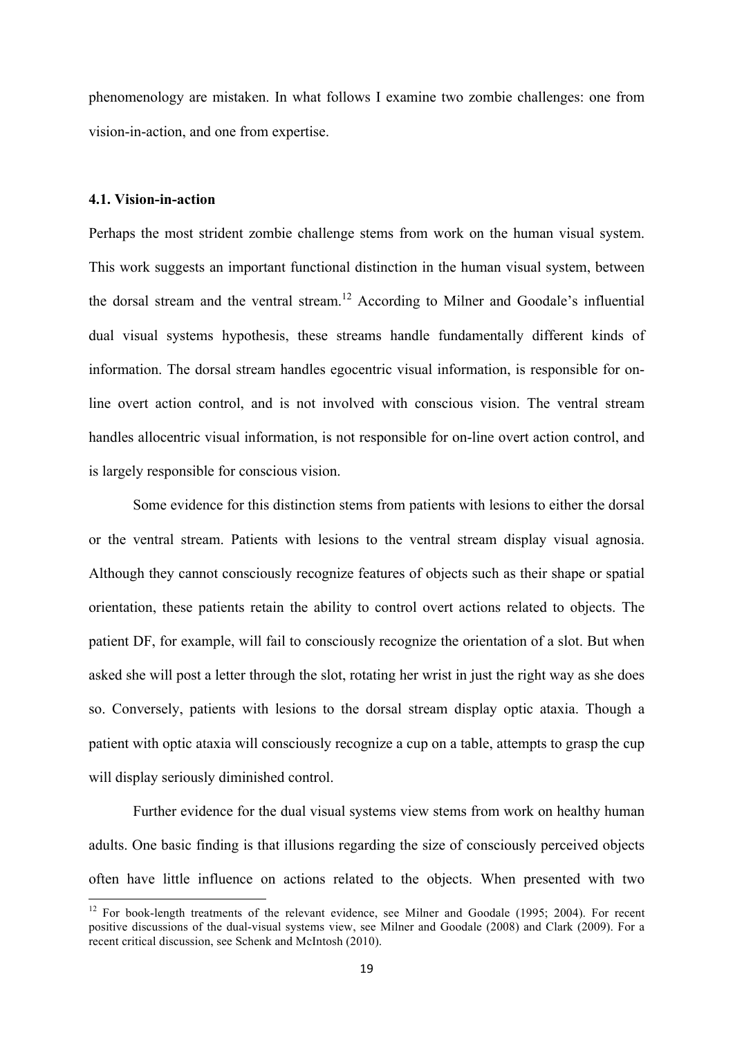phenomenology are mistaken. In what follows I examine two zombie challenges: one from vision-in-action, and one from expertise.

# **4.1. Vision-in-action**

<u> 1989 - Johann Stein, fransk politiker (d. 1989)</u>

Perhaps the most strident zombie challenge stems from work on the human visual system. This work suggests an important functional distinction in the human visual system, between the dorsal stream and the ventral stream.12 According to Milner and Goodale's influential dual visual systems hypothesis, these streams handle fundamentally different kinds of information. The dorsal stream handles egocentric visual information, is responsible for online overt action control, and is not involved with conscious vision. The ventral stream handles allocentric visual information, is not responsible for on-line overt action control, and is largely responsible for conscious vision.

Some evidence for this distinction stems from patients with lesions to either the dorsal or the ventral stream. Patients with lesions to the ventral stream display visual agnosia. Although they cannot consciously recognize features of objects such as their shape or spatial orientation, these patients retain the ability to control overt actions related to objects. The patient DF, for example, will fail to consciously recognize the orientation of a slot. But when asked she will post a letter through the slot, rotating her wrist in just the right way as she does so. Conversely, patients with lesions to the dorsal stream display optic ataxia. Though a patient with optic ataxia will consciously recognize a cup on a table, attempts to grasp the cup will display seriously diminished control.

Further evidence for the dual visual systems view stems from work on healthy human adults. One basic finding is that illusions regarding the size of consciously perceived objects often have little influence on actions related to the objects. When presented with two

<sup>&</sup>lt;sup>12</sup> For book-length treatments of the relevant evidence, see Milner and Goodale (1995; 2004). For recent positive discussions of the dual-visual systems view, see Milner and Goodale (2008) and Clark (2009). For a recent critical discussion, see Schenk and McIntosh (2010).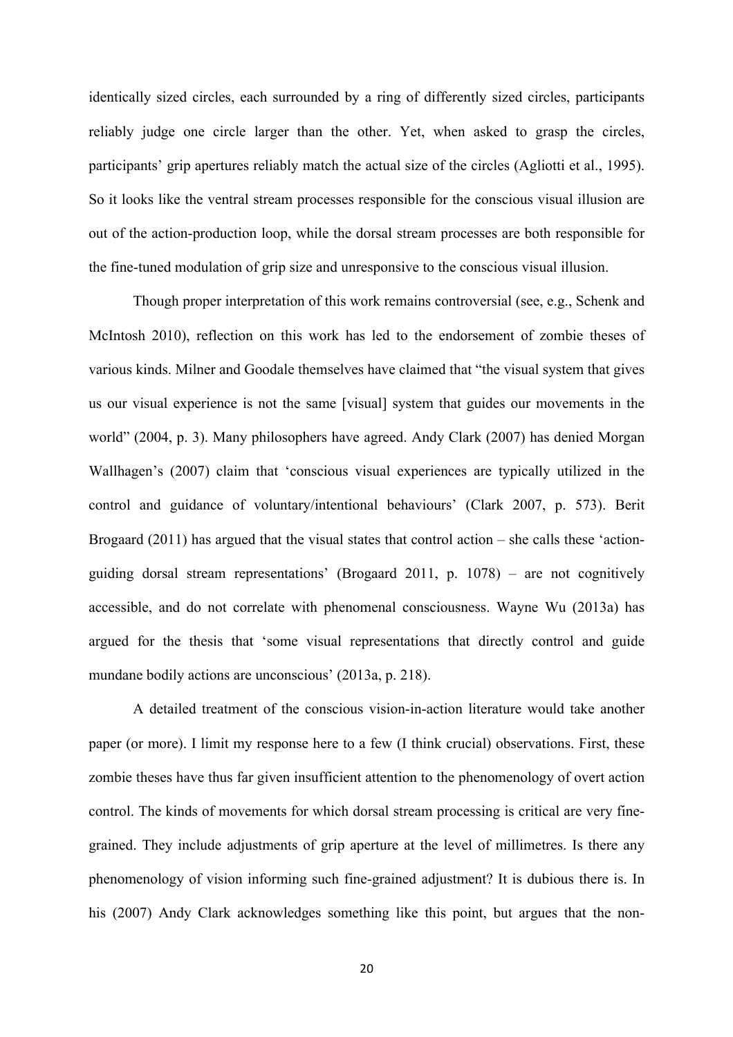identically sized circles, each surrounded by a ring of differently sized circles, participants reliably judge one circle larger than the other. Yet, when asked to grasp the circles, participants' grip apertures reliably match the actual size of the circles (Agliotti et al., 1995). So it looks like the ventral stream processes responsible for the conscious visual illusion are out of the action-production loop, while the dorsal stream processes are both responsible for the fine-tuned modulation of grip size and unresponsive to the conscious visual illusion.

Though proper interpretation of this work remains controversial (see, e.g., Schenk and McIntosh 2010), reflection on this work has led to the endorsement of zombie theses of various kinds. Milner and Goodale themselves have claimed that "the visual system that gives us our visual experience is not the same [visual] system that guides our movements in the world" (2004, p. 3). Many philosophers have agreed. Andy Clark (2007) has denied Morgan Wallhagen's (2007) claim that 'conscious visual experiences are typically utilized in the control and guidance of voluntary/intentional behaviours' (Clark 2007, p. 573). Berit Brogaard (2011) has argued that the visual states that control action – she calls these 'actionguiding dorsal stream representations' (Brogaard 2011, p. 1078) – are not cognitively accessible, and do not correlate with phenomenal consciousness. Wayne Wu (2013a) has argued for the thesis that 'some visual representations that directly control and guide mundane bodily actions are unconscious' (2013a, p. 218).

A detailed treatment of the conscious vision-in-action literature would take another paper (or more). I limit my response here to a few (I think crucial) observations. First, these zombie theses have thus far given insufficient attention to the phenomenology of overt action control. The kinds of movements for which dorsal stream processing is critical are very finegrained. They include adjustments of grip aperture at the level of millimetres. Is there any phenomenology of vision informing such fine-grained adjustment? It is dubious there is. In his (2007) Andy Clark acknowledges something like this point, but argues that the non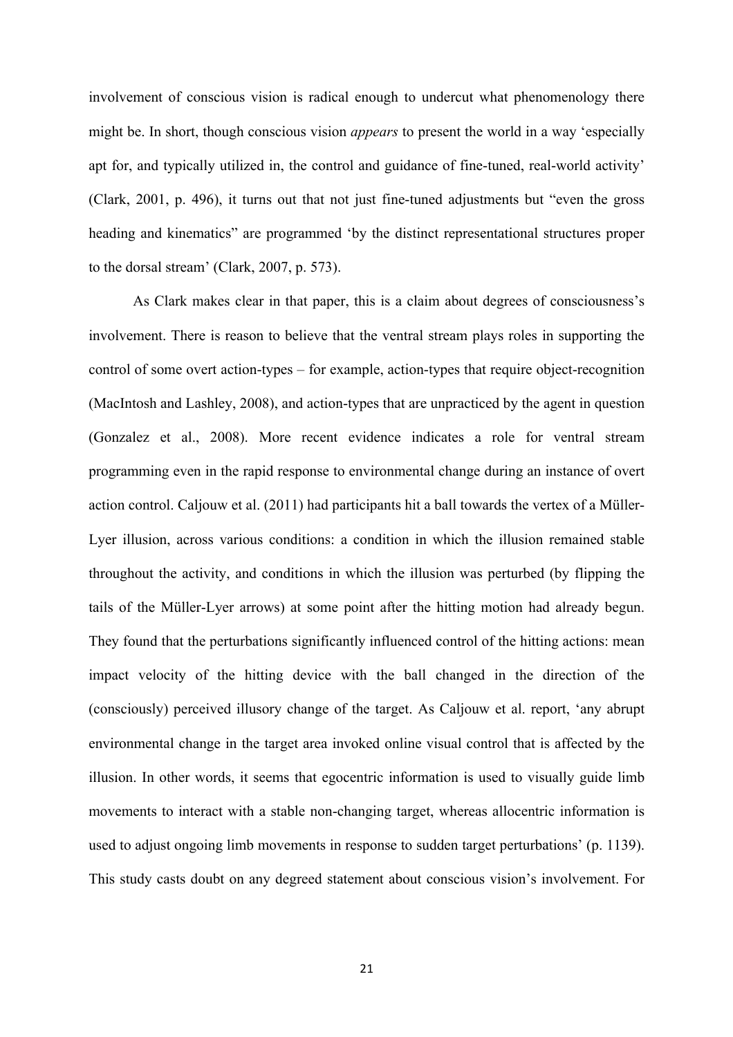involvement of conscious vision is radical enough to undercut what phenomenology there might be. In short, though conscious vision *appears* to present the world in a way 'especially apt for, and typically utilized in, the control and guidance of fine-tuned, real-world activity' (Clark, 2001, p. 496), it turns out that not just fine-tuned adjustments but "even the gross heading and kinematics" are programmed 'by the distinct representational structures proper to the dorsal stream' (Clark, 2007, p. 573).

As Clark makes clear in that paper, this is a claim about degrees of consciousness's involvement. There is reason to believe that the ventral stream plays roles in supporting the control of some overt action-types – for example, action-types that require object-recognition (MacIntosh and Lashley, 2008), and action-types that are unpracticed by the agent in question (Gonzalez et al., 2008). More recent evidence indicates a role for ventral stream programming even in the rapid response to environmental change during an instance of overt action control. Caljouw et al. (2011) had participants hit a ball towards the vertex of a Müller-Lyer illusion, across various conditions: a condition in which the illusion remained stable throughout the activity, and conditions in which the illusion was perturbed (by flipping the tails of the Müller-Lyer arrows) at some point after the hitting motion had already begun. They found that the perturbations significantly influenced control of the hitting actions: mean impact velocity of the hitting device with the ball changed in the direction of the (consciously) perceived illusory change of the target. As Caljouw et al. report, 'any abrupt environmental change in the target area invoked online visual control that is affected by the illusion. In other words, it seems that egocentric information is used to visually guide limb movements to interact with a stable non-changing target, whereas allocentric information is used to adjust ongoing limb movements in response to sudden target perturbations' (p. 1139). This study casts doubt on any degreed statement about conscious vision's involvement. For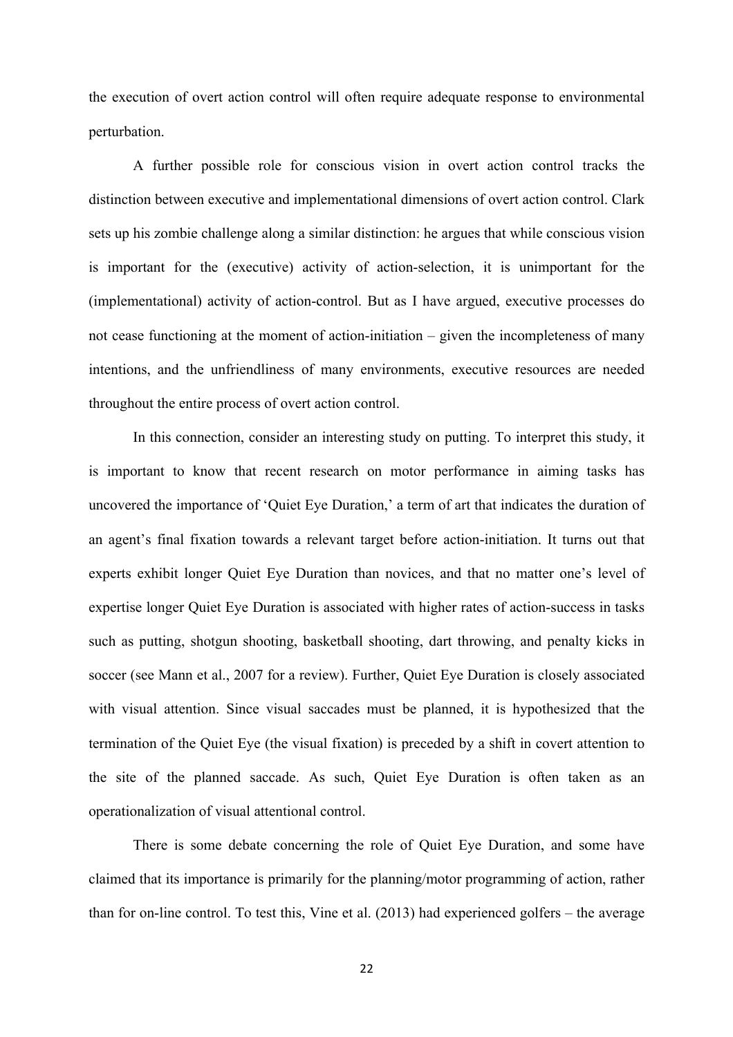the execution of overt action control will often require adequate response to environmental perturbation.

A further possible role for conscious vision in overt action control tracks the distinction between executive and implementational dimensions of overt action control. Clark sets up his zombie challenge along a similar distinction: he argues that while conscious vision is important for the (executive) activity of action-selection, it is unimportant for the (implementational) activity of action-control. But as I have argued, executive processes do not cease functioning at the moment of action-initiation – given the incompleteness of many intentions, and the unfriendliness of many environments, executive resources are needed throughout the entire process of overt action control.

In this connection, consider an interesting study on putting. To interpret this study, it is important to know that recent research on motor performance in aiming tasks has uncovered the importance of 'Quiet Eye Duration,' a term of art that indicates the duration of an agent's final fixation towards a relevant target before action-initiation. It turns out that experts exhibit longer Quiet Eye Duration than novices, and that no matter one's level of expertise longer Quiet Eye Duration is associated with higher rates of action-success in tasks such as putting, shotgun shooting, basketball shooting, dart throwing, and penalty kicks in soccer (see Mann et al., 2007 for a review). Further, Quiet Eye Duration is closely associated with visual attention. Since visual saccades must be planned, it is hypothesized that the termination of the Quiet Eye (the visual fixation) is preceded by a shift in covert attention to the site of the planned saccade. As such, Quiet Eye Duration is often taken as an operationalization of visual attentional control.

There is some debate concerning the role of Quiet Eye Duration, and some have claimed that its importance is primarily for the planning/motor programming of action, rather than for on-line control. To test this, Vine et al. (2013) had experienced golfers – the average

22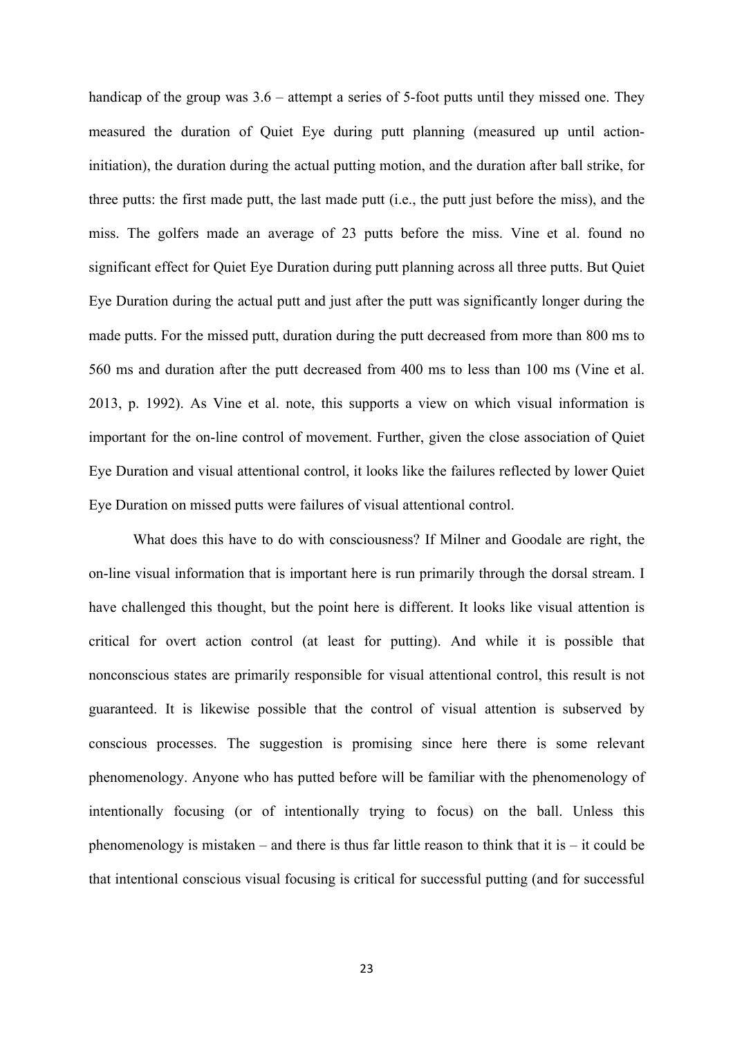handicap of the group was  $3.6$  – attempt a series of 5-foot putts until they missed one. They measured the duration of Quiet Eye during putt planning (measured up until actioninitiation), the duration during the actual putting motion, and the duration after ball strike, for three putts: the first made putt, the last made putt (i.e., the putt just before the miss), and the miss. The golfers made an average of 23 putts before the miss. Vine et al. found no significant effect for Quiet Eye Duration during putt planning across all three putts. But Quiet Eye Duration during the actual putt and just after the putt was significantly longer during the made putts. For the missed putt, duration during the putt decreased from more than 800 ms to 560 ms and duration after the putt decreased from 400 ms to less than 100 ms (Vine et al. 2013, p. 1992). As Vine et al. note, this supports a view on which visual information is important for the on-line control of movement. Further, given the close association of Quiet Eye Duration and visual attentional control, it looks like the failures reflected by lower Quiet Eye Duration on missed putts were failures of visual attentional control.

What does this have to do with consciousness? If Milner and Goodale are right, the on-line visual information that is important here is run primarily through the dorsal stream. I have challenged this thought, but the point here is different. It looks like visual attention is critical for overt action control (at least for putting). And while it is possible that nonconscious states are primarily responsible for visual attentional control, this result is not guaranteed. It is likewise possible that the control of visual attention is subserved by conscious processes. The suggestion is promising since here there is some relevant phenomenology. Anyone who has putted before will be familiar with the phenomenology of intentionally focusing (or of intentionally trying to focus) on the ball. Unless this phenomenology is mistaken – and there is thus far little reason to think that it is – it could be that intentional conscious visual focusing is critical for successful putting (and for successful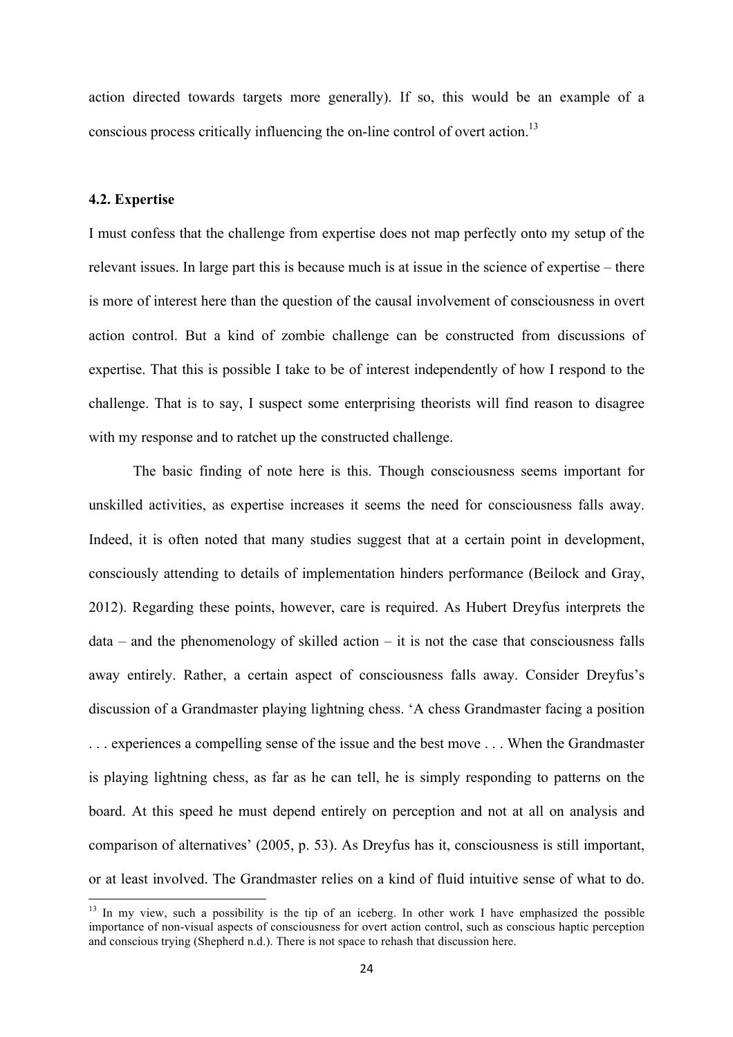action directed towards targets more generally). If so, this would be an example of a conscious process critically influencing the on-line control of overt action.<sup>13</sup>

## **4.2. Expertise**

<u> 1989 - Johann Stein, fransk politiker (d. 1989)</u>

I must confess that the challenge from expertise does not map perfectly onto my setup of the relevant issues. In large part this is because much is at issue in the science of expertise – there is more of interest here than the question of the causal involvement of consciousness in overt action control. But a kind of zombie challenge can be constructed from discussions of expertise. That this is possible I take to be of interest independently of how I respond to the challenge. That is to say, I suspect some enterprising theorists will find reason to disagree with my response and to ratchet up the constructed challenge.

The basic finding of note here is this. Though consciousness seems important for unskilled activities, as expertise increases it seems the need for consciousness falls away. Indeed, it is often noted that many studies suggest that at a certain point in development, consciously attending to details of implementation hinders performance (Beilock and Gray, 2012). Regarding these points, however, care is required. As Hubert Dreyfus interprets the  $data - and the phenomenology of skilled action - it is not the case that consciousness falls$ away entirely. Rather, a certain aspect of consciousness falls away. Consider Dreyfus's discussion of a Grandmaster playing lightning chess. 'A chess Grandmaster facing a position . . . experiences a compelling sense of the issue and the best move . . . When the Grandmaster is playing lightning chess, as far as he can tell, he is simply responding to patterns on the board. At this speed he must depend entirely on perception and not at all on analysis and comparison of alternatives' (2005, p. 53). As Dreyfus has it, consciousness is still important, or at least involved. The Grandmaster relies on a kind of fluid intuitive sense of what to do.

 $13$  In my view, such a possibility is the tip of an iceberg. In other work I have emphasized the possible importance of non-visual aspects of consciousness for overt action control, such as conscious haptic perception and conscious trying (Shepherd n.d.). There is not space to rehash that discussion here.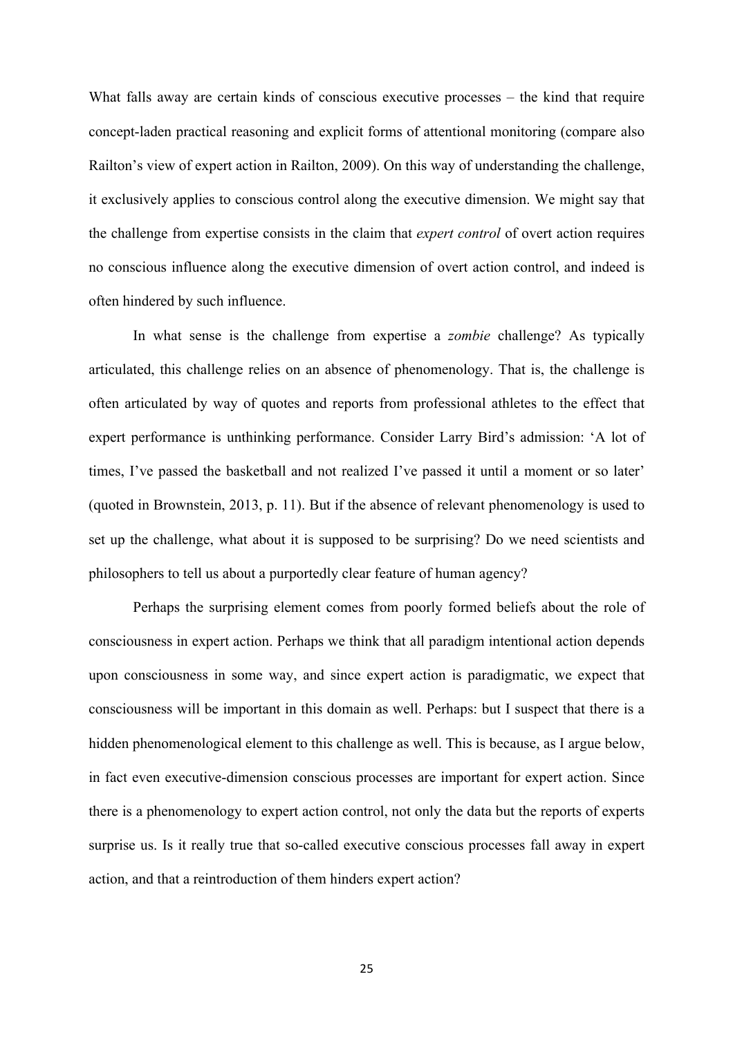What falls away are certain kinds of conscious executive processes – the kind that require concept-laden practical reasoning and explicit forms of attentional monitoring (compare also Railton's view of expert action in Railton, 2009). On this way of understanding the challenge, it exclusively applies to conscious control along the executive dimension. We might say that the challenge from expertise consists in the claim that *expert control* of overt action requires no conscious influence along the executive dimension of overt action control, and indeed is often hindered by such influence.

In what sense is the challenge from expertise a *zombie* challenge? As typically articulated, this challenge relies on an absence of phenomenology. That is, the challenge is often articulated by way of quotes and reports from professional athletes to the effect that expert performance is unthinking performance. Consider Larry Bird's admission: 'A lot of times, I've passed the basketball and not realized I've passed it until a moment or so later' (quoted in Brownstein, 2013, p. 11). But if the absence of relevant phenomenology is used to set up the challenge, what about it is supposed to be surprising? Do we need scientists and philosophers to tell us about a purportedly clear feature of human agency?

Perhaps the surprising element comes from poorly formed beliefs about the role of consciousness in expert action. Perhaps we think that all paradigm intentional action depends upon consciousness in some way, and since expert action is paradigmatic, we expect that consciousness will be important in this domain as well. Perhaps: but I suspect that there is a hidden phenomenological element to this challenge as well. This is because, as I argue below, in fact even executive-dimension conscious processes are important for expert action. Since there is a phenomenology to expert action control, not only the data but the reports of experts surprise us. Is it really true that so-called executive conscious processes fall away in expert action, and that a reintroduction of them hinders expert action?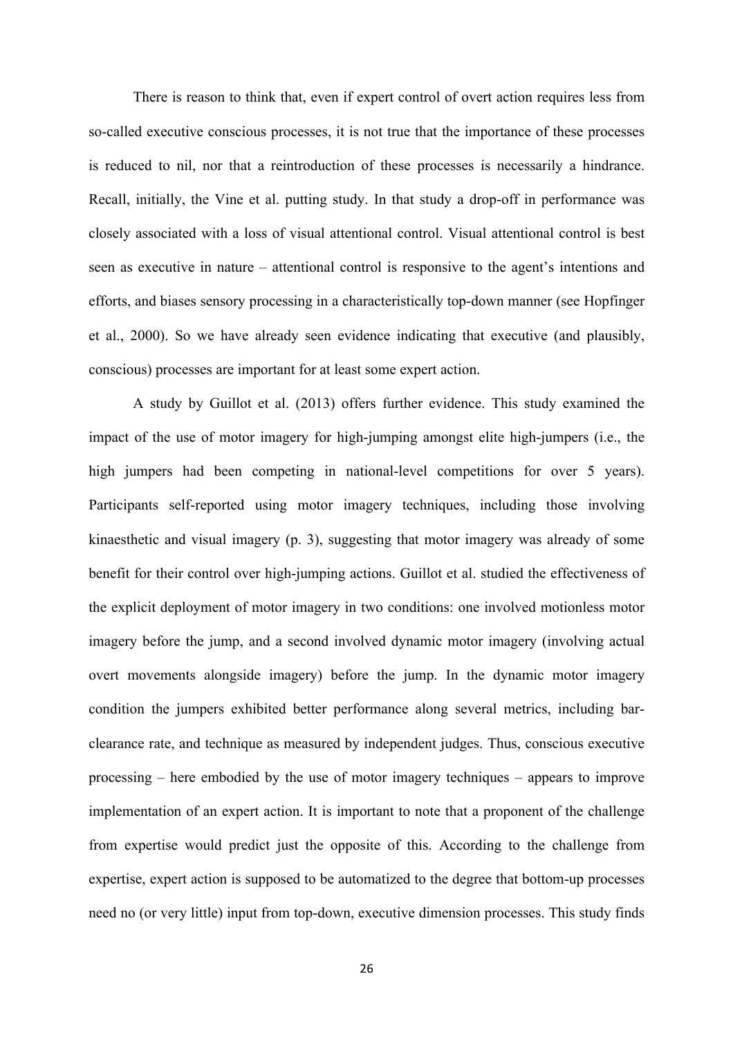There is reason to think that, even if expert control of overt action requires less from so-called executive conscious processes, it is not true that the importance of these processes is reduced to nil, nor that a reintroduction of these processes is necessarily a hindrance. Recall, initially, the Vine et al. putting study. In that study a drop-off in performance was closely associated with a loss of visual attentional control. Visual attentional control is best seen as executive in nature – attentional control is responsive to the agent's intentions and efforts, and biases sensory processing in a characteristically top-down manner (see Hopfinger et al., 2000). So we have already seen evidence indicating that executive (and plausibly, conscious) processes are important for at least some expert action.

A study by Guillot et al. (2013) offers further evidence. This study examined the impact of the use of motor imagery for high-jumping amongst elite high-jumpers (i.e., the high jumpers had been competing in national-level competitions for over 5 years). Participants self-reported using motor imagery techniques, including those involving kinaesthetic and visual imagery (p. 3), suggesting that motor imagery was already of some benefit for their control over high-jumping actions. Guillot et al. studied the effectiveness of the explicit deployment of motor imagery in two conditions: one involved motionless motor imagery before the jump, and a second involved dynamic motor imagery (involving actual overt movements alongside imagery) before the jump. In the dynamic motor imagery condition the jumpers exhibited better performance along several metrics, including barclearance rate, and technique as measured by independent judges. Thus, conscious executive processing – here embodied by the use of motor imagery techniques – appears to improve implementation of an expert action. It is important to note that a proponent of the challenge from expertise would predict just the opposite of this. According to the challenge from expertise, expert action is supposed to be automatized to the degree that bottom-up processes need no (or very little) input from top-down, executive dimension processes. This study finds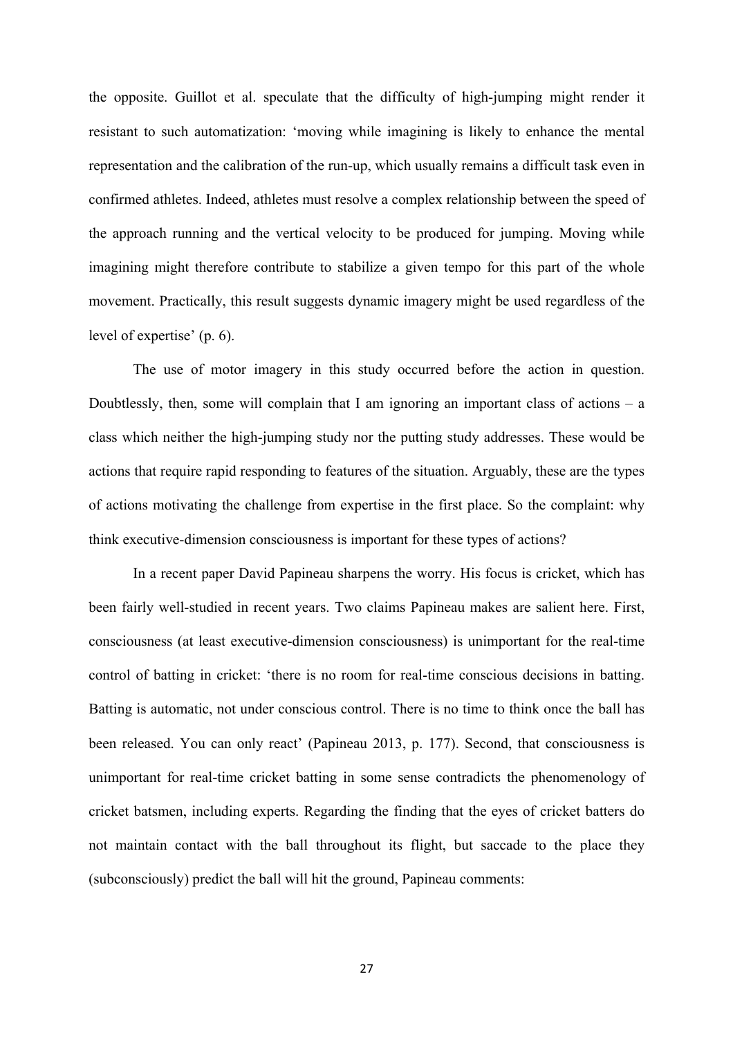the opposite. Guillot et al. speculate that the difficulty of high-jumping might render it resistant to such automatization: 'moving while imagining is likely to enhance the mental representation and the calibration of the run-up, which usually remains a difficult task even in confirmed athletes. Indeed, athletes must resolve a complex relationship between the speed of the approach running and the vertical velocity to be produced for jumping. Moving while imagining might therefore contribute to stabilize a given tempo for this part of the whole movement. Practically, this result suggests dynamic imagery might be used regardless of the level of expertise' (p. 6).

The use of motor imagery in this study occurred before the action in question. Doubtlessly, then, some will complain that I am ignoring an important class of actions – a class which neither the high-jumping study nor the putting study addresses. These would be actions that require rapid responding to features of the situation. Arguably, these are the types of actions motivating the challenge from expertise in the first place. So the complaint: why think executive-dimension consciousness is important for these types of actions?

In a recent paper David Papineau sharpens the worry. His focus is cricket, which has been fairly well-studied in recent years. Two claims Papineau makes are salient here. First, consciousness (at least executive-dimension consciousness) is unimportant for the real-time control of batting in cricket: 'there is no room for real-time conscious decisions in batting. Batting is automatic, not under conscious control. There is no time to think once the ball has been released. You can only react' (Papineau 2013, p. 177). Second, that consciousness is unimportant for real-time cricket batting in some sense contradicts the phenomenology of cricket batsmen, including experts. Regarding the finding that the eyes of cricket batters do not maintain contact with the ball throughout its flight, but saccade to the place they (subconsciously) predict the ball will hit the ground, Papineau comments: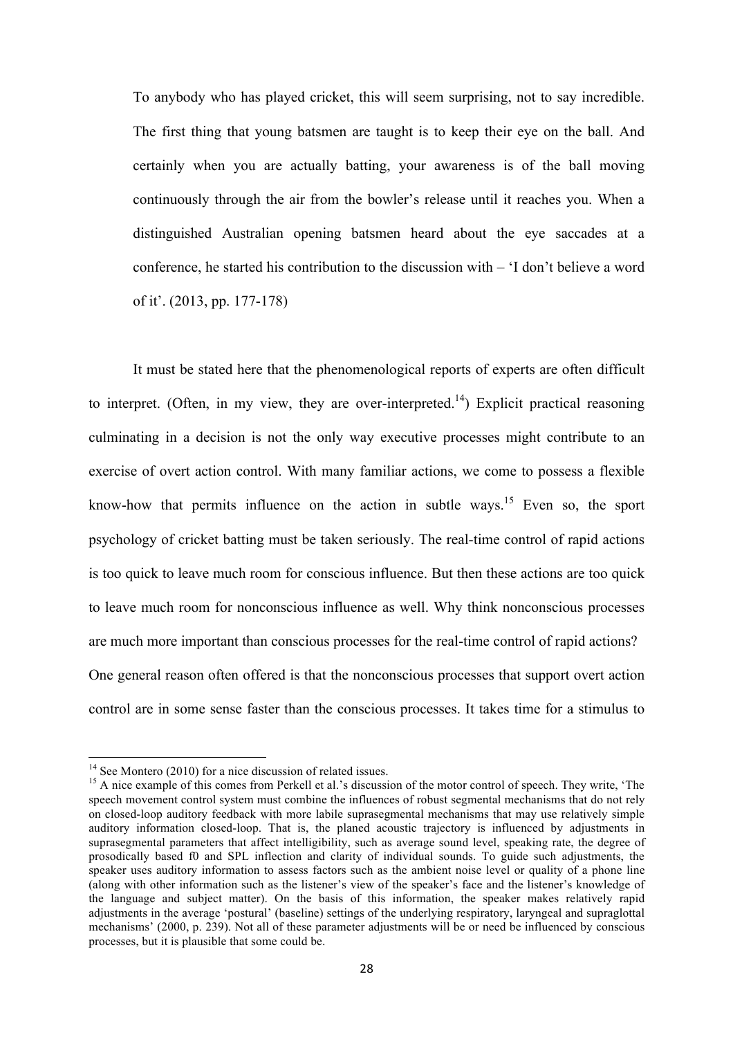To anybody who has played cricket, this will seem surprising, not to say incredible. The first thing that young batsmen are taught is to keep their eye on the ball. And certainly when you are actually batting, your awareness is of the ball moving continuously through the air from the bowler's release until it reaches you. When a distinguished Australian opening batsmen heard about the eye saccades at a conference, he started his contribution to the discussion with – 'I don't believe a word of it'. (2013, pp. 177-178)

It must be stated here that the phenomenological reports of experts are often difficult to interpret. (Often, in my view, they are over-interpreted.<sup>14</sup>) Explicit practical reasoning culminating in a decision is not the only way executive processes might contribute to an exercise of overt action control. With many familiar actions, we come to possess a flexible know-how that permits influence on the action in subtle ways.<sup>15</sup> Even so, the sport psychology of cricket batting must be taken seriously. The real-time control of rapid actions is too quick to leave much room for conscious influence. But then these actions are too quick to leave much room for nonconscious influence as well. Why think nonconscious processes are much more important than conscious processes for the real-time control of rapid actions? One general reason often offered is that the nonconscious processes that support overt action control are in some sense faster than the conscious processes. It takes time for a stimulus to

 $14$  See Montero (2010) for a nice discussion of related issues.

 $15$  A nice example of this comes from Perkell et al.'s discussion of the motor control of speech. They write, 'The speech movement control system must combine the influences of robust segmental mechanisms that do not rely on closed-loop auditory feedback with more labile suprasegmental mechanisms that may use relatively simple auditory information closed-loop. That is, the planed acoustic trajectory is influenced by adjustments in suprasegmental parameters that affect intelligibility, such as average sound level, speaking rate, the degree of prosodically based f0 and SPL inflection and clarity of individual sounds. To guide such adjustments, the speaker uses auditory information to assess factors such as the ambient noise level or quality of a phone line (along with other information such as the listener's view of the speaker's face and the listener's knowledge of the language and subject matter). On the basis of this information, the speaker makes relatively rapid adjustments in the average 'postural' (baseline) settings of the underlying respiratory, laryngeal and supraglottal mechanisms' (2000, p. 239). Not all of these parameter adjustments will be or need be influenced by conscious processes, but it is plausible that some could be.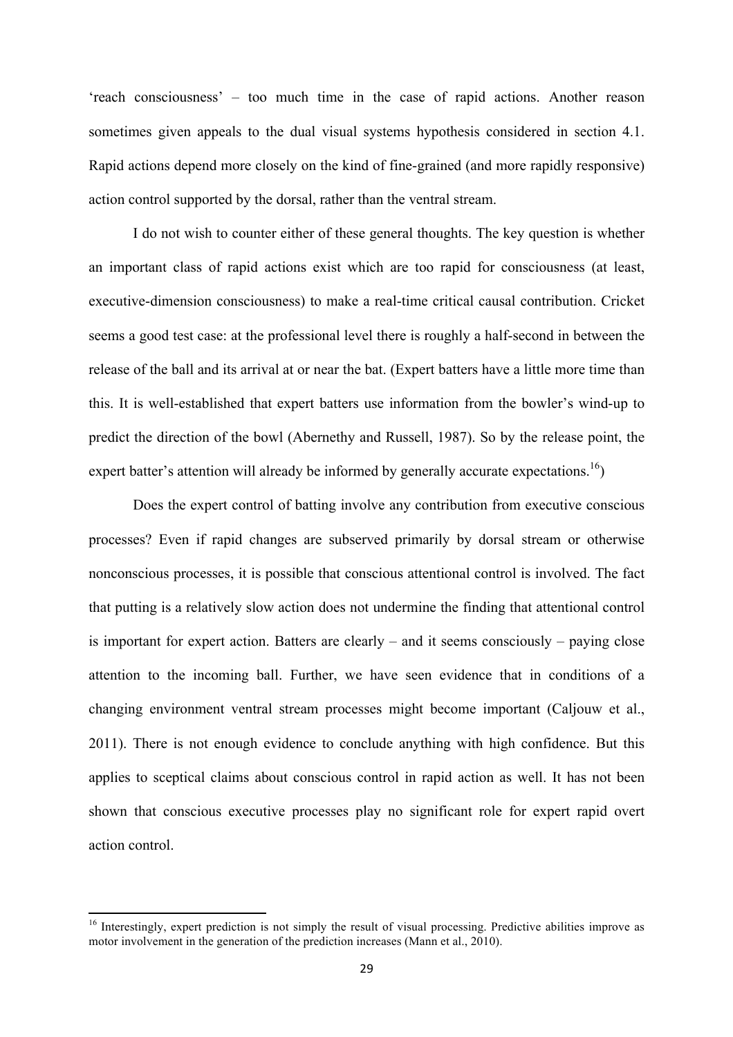'reach consciousness' – too much time in the case of rapid actions. Another reason sometimes given appeals to the dual visual systems hypothesis considered in section 4.1. Rapid actions depend more closely on the kind of fine-grained (and more rapidly responsive) action control supported by the dorsal, rather than the ventral stream.

I do not wish to counter either of these general thoughts. The key question is whether an important class of rapid actions exist which are too rapid for consciousness (at least, executive-dimension consciousness) to make a real-time critical causal contribution. Cricket seems a good test case: at the professional level there is roughly a half-second in between the release of the ball and its arrival at or near the bat. (Expert batters have a little more time than this. It is well-established that expert batters use information from the bowler's wind-up to predict the direction of the bowl (Abernethy and Russell, 1987). So by the release point, the expert batter's attention will already be informed by generally accurate expectations.<sup>16</sup>)

Does the expert control of batting involve any contribution from executive conscious processes? Even if rapid changes are subserved primarily by dorsal stream or otherwise nonconscious processes, it is possible that conscious attentional control is involved. The fact that putting is a relatively slow action does not undermine the finding that attentional control is important for expert action. Batters are clearly – and it seems consciously – paying close attention to the incoming ball. Further, we have seen evidence that in conditions of a changing environment ventral stream processes might become important (Caljouw et al., 2011). There is not enough evidence to conclude anything with high confidence. But this applies to sceptical claims about conscious control in rapid action as well. It has not been shown that conscious executive processes play no significant role for expert rapid overt action control.

<sup>&</sup>lt;sup>16</sup> Interestingly, expert prediction is not simply the result of visual processing. Predictive abilities improve as motor involvement in the generation of the prediction increases (Mann et al., 2010).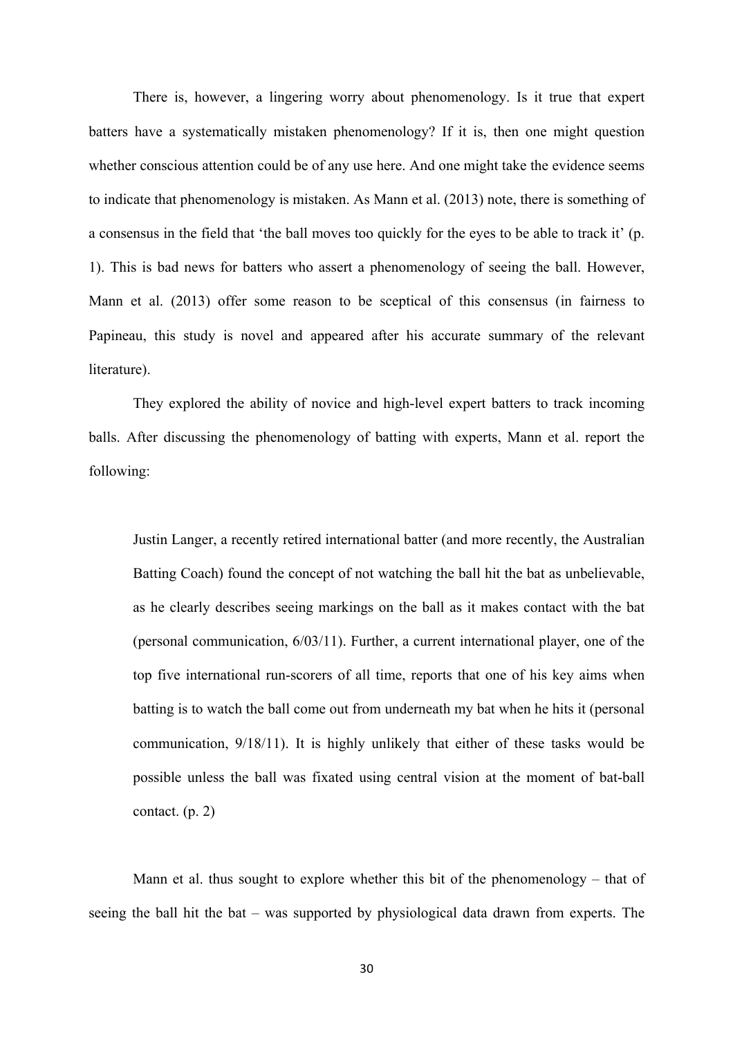There is, however, a lingering worry about phenomenology. Is it true that expert batters have a systematically mistaken phenomenology? If it is, then one might question whether conscious attention could be of any use here. And one might take the evidence seems to indicate that phenomenology is mistaken. As Mann et al. (2013) note, there is something of a consensus in the field that 'the ball moves too quickly for the eyes to be able to track it' (p. 1). This is bad news for batters who assert a phenomenology of seeing the ball. However, Mann et al. (2013) offer some reason to be sceptical of this consensus (in fairness to Papineau, this study is novel and appeared after his accurate summary of the relevant literature).

They explored the ability of novice and high-level expert batters to track incoming balls. After discussing the phenomenology of batting with experts, Mann et al. report the following:

Justin Langer, a recently retired international batter (and more recently, the Australian Batting Coach) found the concept of not watching the ball hit the bat as unbelievable, as he clearly describes seeing markings on the ball as it makes contact with the bat (personal communication, 6/03/11). Further, a current international player, one of the top five international run-scorers of all time, reports that one of his key aims when batting is to watch the ball come out from underneath my bat when he hits it (personal communication, 9/18/11). It is highly unlikely that either of these tasks would be possible unless the ball was fixated using central vision at the moment of bat-ball contact. (p. 2)

Mann et al. thus sought to explore whether this bit of the phenomenology – that of seeing the ball hit the bat – was supported by physiological data drawn from experts. The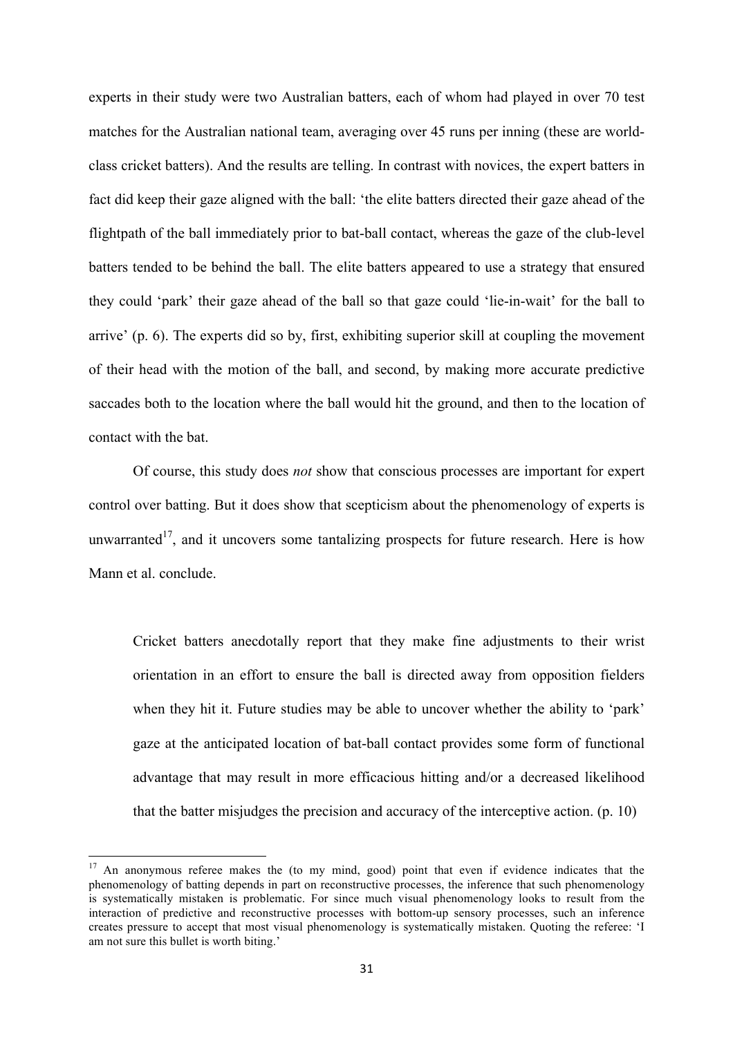experts in their study were two Australian batters, each of whom had played in over 70 test matches for the Australian national team, averaging over 45 runs per inning (these are worldclass cricket batters). And the results are telling. In contrast with novices, the expert batters in fact did keep their gaze aligned with the ball: 'the elite batters directed their gaze ahead of the flightpath of the ball immediately prior to bat-ball contact, whereas the gaze of the club-level batters tended to be behind the ball. The elite batters appeared to use a strategy that ensured they could 'park' their gaze ahead of the ball so that gaze could 'lie-in-wait' for the ball to arrive' (p. 6). The experts did so by, first, exhibiting superior skill at coupling the movement of their head with the motion of the ball, and second, by making more accurate predictive saccades both to the location where the ball would hit the ground, and then to the location of contact with the bat.

Of course, this study does *not* show that conscious processes are important for expert control over batting. But it does show that scepticism about the phenomenology of experts is unwarranted<sup>17</sup>, and it uncovers some tantalizing prospects for future research. Here is how Mann et al. conclude.

Cricket batters anecdotally report that they make fine adjustments to their wrist orientation in an effort to ensure the ball is directed away from opposition fielders when they hit it. Future studies may be able to uncover whether the ability to 'park' gaze at the anticipated location of bat-ball contact provides some form of functional advantage that may result in more efficacious hitting and/or a decreased likelihood that the batter misjudges the precision and accuracy of the interceptive action. (p. 10)

 $17$  An anonymous referee makes the (to my mind, good) point that even if evidence indicates that the phenomenology of batting depends in part on reconstructive processes, the inference that such phenomenology is systematically mistaken is problematic. For since much visual phenomenology looks to result from the interaction of predictive and reconstructive processes with bottom-up sensory processes, such an inference creates pressure to accept that most visual phenomenology is systematically mistaken. Quoting the referee: 'I am not sure this bullet is worth biting.'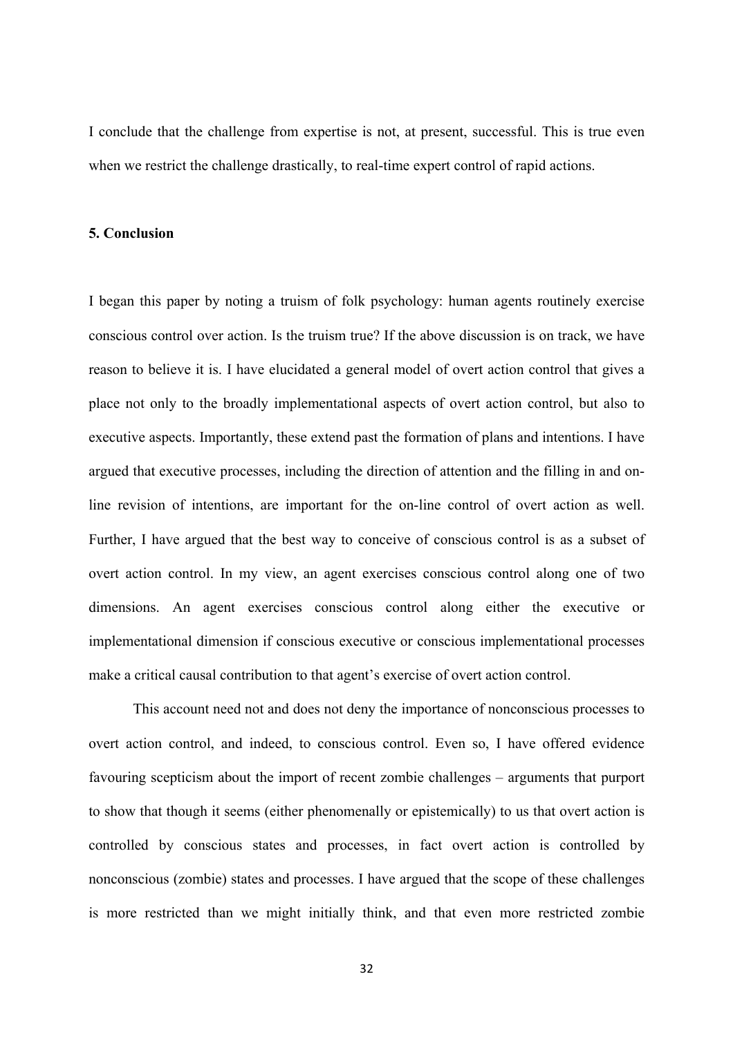I conclude that the challenge from expertise is not, at present, successful. This is true even when we restrict the challenge drastically, to real-time expert control of rapid actions.

#### **5. Conclusion**

I began this paper by noting a truism of folk psychology: human agents routinely exercise conscious control over action. Is the truism true? If the above discussion is on track, we have reason to believe it is. I have elucidated a general model of overt action control that gives a place not only to the broadly implementational aspects of overt action control, but also to executive aspects. Importantly, these extend past the formation of plans and intentions. I have argued that executive processes, including the direction of attention and the filling in and online revision of intentions, are important for the on-line control of overt action as well. Further, I have argued that the best way to conceive of conscious control is as a subset of overt action control. In my view, an agent exercises conscious control along one of two dimensions. An agent exercises conscious control along either the executive or implementational dimension if conscious executive or conscious implementational processes make a critical causal contribution to that agent's exercise of overt action control.

This account need not and does not deny the importance of nonconscious processes to overt action control, and indeed, to conscious control. Even so, I have offered evidence favouring scepticism about the import of recent zombie challenges – arguments that purport to show that though it seems (either phenomenally or epistemically) to us that overt action is controlled by conscious states and processes, in fact overt action is controlled by nonconscious (zombie) states and processes. I have argued that the scope of these challenges is more restricted than we might initially think, and that even more restricted zombie

32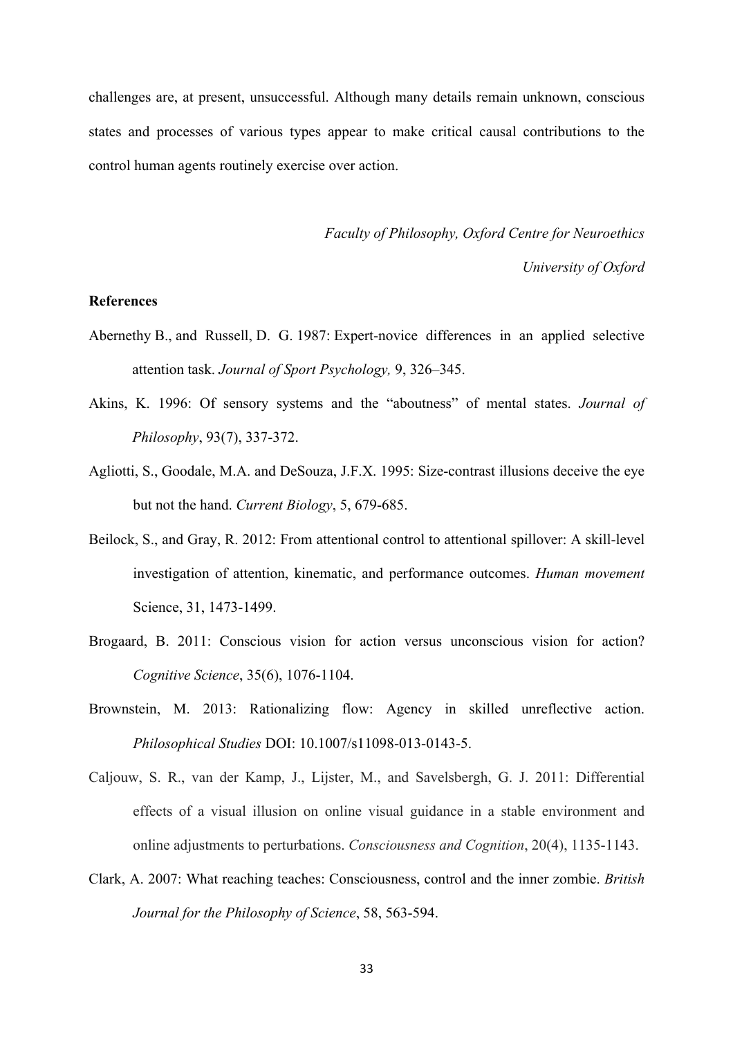challenges are, at present, unsuccessful. Although many details remain unknown, conscious states and processes of various types appear to make critical causal contributions to the control human agents routinely exercise over action.

*Faculty of Philosophy, Oxford Centre for Neuroethics*

*University of Oxford*

# **References**

- Abernethy B., and Russell, D. G. 1987: Expert-novice differences in an applied selective attention task. *Journal of Sport Psychology,* 9, 326–345.
- Akins, K. 1996: Of sensory systems and the "aboutness" of mental states. *Journal of Philosophy*, 93(7), 337-372.
- Agliotti, S., Goodale, M.A. and DeSouza, J.F.X. 1995: Size-contrast illusions deceive the eye but not the hand. *Current Biology*, 5, 679-685.
- Beilock, S., and Gray, R. 2012: From attentional control to attentional spillover: A skill-level investigation of attention, kinematic, and performance outcomes. *Human movement*  Science, 31, 1473-1499.
- Brogaard, B. 2011: Conscious vision for action versus unconscious vision for action? *Cognitive Science*, 35(6), 1076-1104.
- Brownstein, M. 2013: Rationalizing flow: Agency in skilled unreflective action. *Philosophical Studies* DOI: 10.1007/s11098-013-0143-5.
- Caljouw, S. R., van der Kamp, J., Lijster, M., and Savelsbergh, G. J. 2011: Differential effects of a visual illusion on online visual guidance in a stable environment and online adjustments to perturbations. *Consciousness and Cognition*, 20(4), 1135-1143.
- Clark, A. 2007: What reaching teaches: Consciousness, control and the inner zombie. *British Journal for the Philosophy of Science*, 58, 563-594.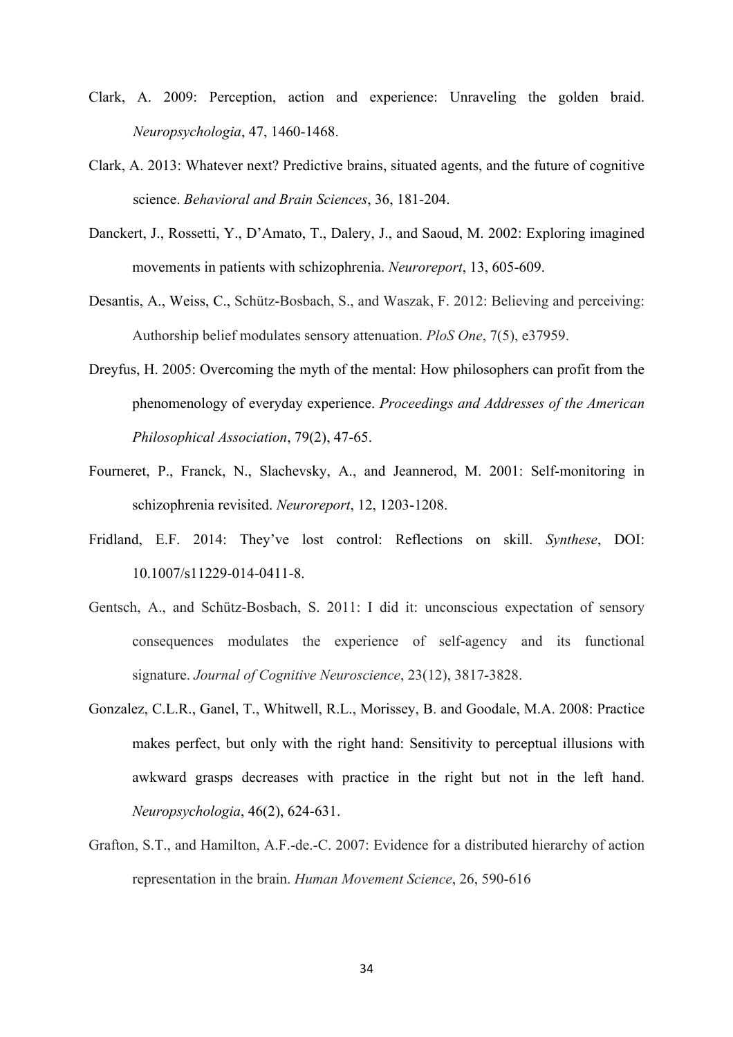- Clark, A. 2009: Perception, action and experience: Unraveling the golden braid. *Neuropsychologia*, 47, 1460-1468.
- Clark, A. 2013: Whatever next? Predictive brains, situated agents, and the future of cognitive science. *Behavioral and Brain Sciences*, 36, 181-204.
- Danckert, J., Rossetti, Y., D'Amato, T., Dalery, J., and Saoud, M. 2002: Exploring imagined movements in patients with schizophrenia. *Neuroreport*, 13, 605-609.
- Desantis, A., Weiss, C., Schütz-Bosbach, S., and Waszak, F. 2012: Believing and perceiving: Authorship belief modulates sensory attenuation. *PloS One*, 7(5), e37959.
- Dreyfus, H. 2005: Overcoming the myth of the mental: How philosophers can profit from the phenomenology of everyday experience. *Proceedings and Addresses of the American Philosophical Association*, 79(2), 47-65.
- Fourneret, P., Franck, N., Slachevsky, A., and Jeannerod, M. 2001: Self-monitoring in schizophrenia revisited. *Neuroreport*, 12, 1203-1208.
- Fridland, E.F. 2014: They've lost control: Reflections on skill. *Synthese*, DOI: 10.1007/s11229-014-0411-8.
- Gentsch, A., and Schütz-Bosbach, S. 2011: I did it: unconscious expectation of sensory consequences modulates the experience of self-agency and its functional signature. *Journal of Cognitive Neuroscience*, 23(12), 3817-3828.
- Gonzalez, C.L.R., Ganel, T., Whitwell, R.L., Morissey, B. and Goodale, M.A. 2008: Practice makes perfect, but only with the right hand: Sensitivity to perceptual illusions with awkward grasps decreases with practice in the right but not in the left hand. *Neuropsychologia*, 46(2), 624-631.
- Grafton, S.T., and Hamilton, A.F.-de.-C. 2007: Evidence for a distributed hierarchy of action representation in the brain. *Human Movement Science*, 26, 590-616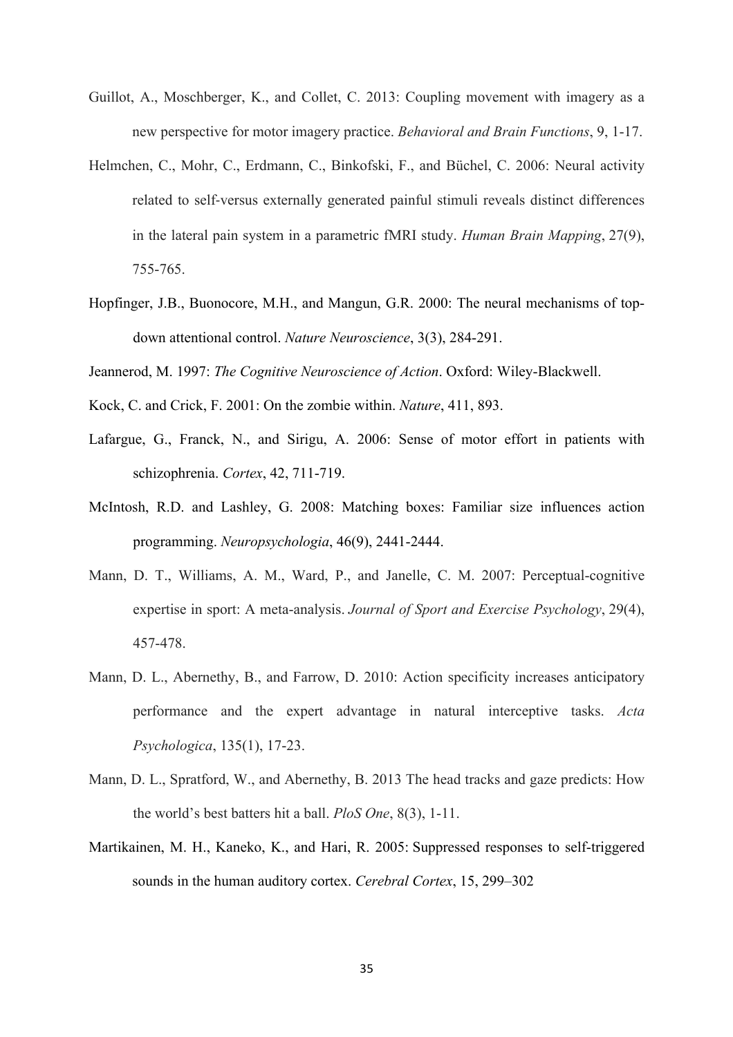- Guillot, A., Moschberger, K., and Collet, C. 2013: Coupling movement with imagery as a new perspective for motor imagery practice. *Behavioral and Brain Functions*, 9, 1-17.
- Helmchen, C., Mohr, C., Erdmann, C., Binkofski, F., and Büchel, C. 2006: Neural activity related to self-versus externally generated painful stimuli reveals distinct differences in the lateral pain system in a parametric fMRI study. *Human Brain Mapping*, 27(9), 755-765.
- Hopfinger, J.B., Buonocore, M.H., and Mangun, G.R. 2000: The neural mechanisms of topdown attentional control. *Nature Neuroscience*, 3(3), 284-291.

Jeannerod, M. 1997: *The Cognitive Neuroscience of Action*. Oxford: Wiley-Blackwell.

- Kock, C. and Crick, F. 2001: On the zombie within. *Nature*, 411, 893.
- Lafargue, G., Franck, N., and Sirigu, A. 2006: Sense of motor effort in patients with schizophrenia. *Cortex*, 42, 711-719.
- McIntosh, R.D. and Lashley, G. 2008: Matching boxes: Familiar size influences action programming. *Neuropsychologia*, 46(9), 2441-2444.
- Mann, D. T., Williams, A. M., Ward, P., and Janelle, C. M. 2007: Perceptual-cognitive expertise in sport: A meta-analysis. *Journal of Sport and Exercise Psychology*, 29(4), 457-478.
- Mann, D. L., Abernethy, B., and Farrow, D. 2010: Action specificity increases anticipatory performance and the expert advantage in natural interceptive tasks. *Acta Psychologica*, 135(1), 17-23.
- Mann, D. L., Spratford, W., and Abernethy, B. 2013 The head tracks and gaze predicts: How the world's best batters hit a ball. *PloS One*, 8(3), 1-11.
- Martikainen, M. H., Kaneko, K., and Hari, R. 2005: Suppressed responses to self-triggered sounds in the human auditory cortex. *Cerebral Cortex*, 15, 299–302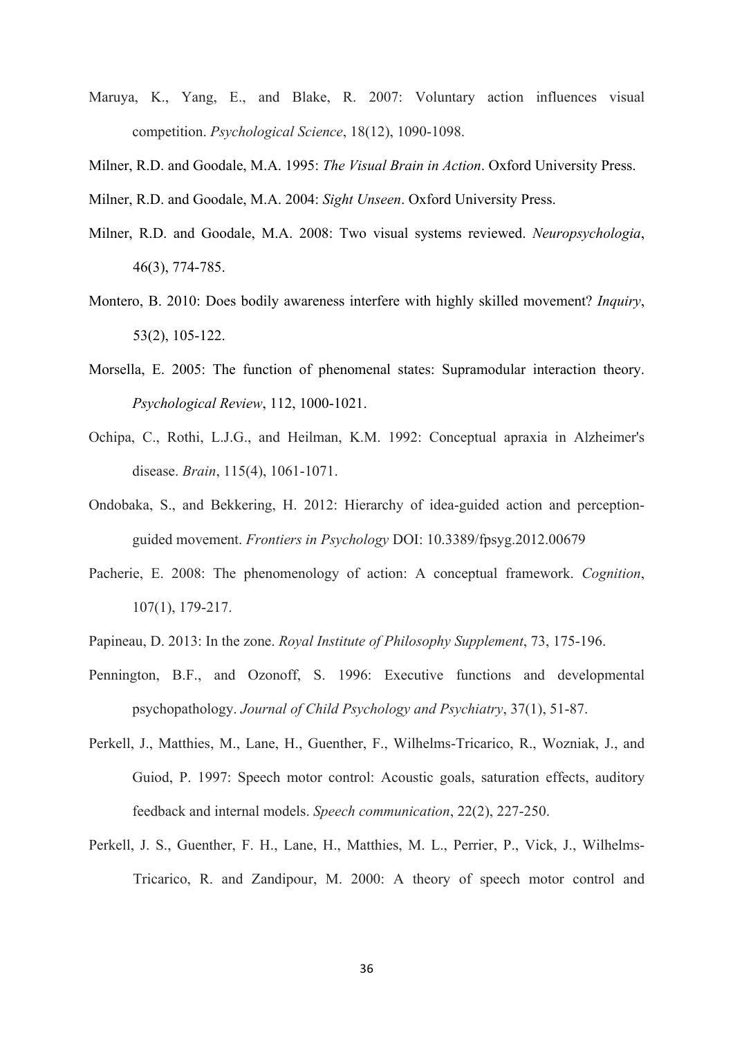- Maruya, K., Yang, E., and Blake, R. 2007: Voluntary action influences visual competition. *Psychological Science*, 18(12), 1090-1098.
- Milner, R.D. and Goodale, M.A. 1995: *The Visual Brain in Action*. Oxford University Press.

Milner, R.D. and Goodale, M.A. 2004: *Sight Unseen*. Oxford University Press.

- Milner, R.D. and Goodale, M.A. 2008: Two visual systems reviewed. *Neuropsychologia*, 46(3), 774-785.
- Montero, B. 2010: Does bodily awareness interfere with highly skilled movement? *Inquiry*, 53(2), 105-122.
- Morsella, E. 2005: The function of phenomenal states: Supramodular interaction theory. *Psychological Review*, 112, 1000-1021.
- Ochipa, C., Rothi, L.J.G., and Heilman, K.M. 1992: Conceptual apraxia in Alzheimer's disease. *Brain*, 115(4), 1061-1071.
- Ondobaka, S., and Bekkering, H. 2012: Hierarchy of idea-guided action and perceptionguided movement. *Frontiers in Psychology* DOI: 10.3389/fpsyg.2012.00679
- Pacherie, E. 2008: The phenomenology of action: A conceptual framework. *Cognition*, 107(1), 179-217.
- Papineau, D. 2013: In the zone. *Royal Institute of Philosophy Supplement*, 73, 175-196.
- Pennington, B.F., and Ozonoff, S. 1996: Executive functions and developmental psychopathology. *Journal of Child Psychology and Psychiatry*, 37(1), 51-87.
- Perkell, J., Matthies, M., Lane, H., Guenther, F., Wilhelms-Tricarico, R., Wozniak, J., and Guiod, P. 1997: Speech motor control: Acoustic goals, saturation effects, auditory feedback and internal models. *Speech communication*, 22(2), 227-250.
- Perkell, J. S., Guenther, F. H., Lane, H., Matthies, M. L., Perrier, P., Vick, J., Wilhelms-Tricarico, R. and Zandipour, M. 2000: A theory of speech motor control and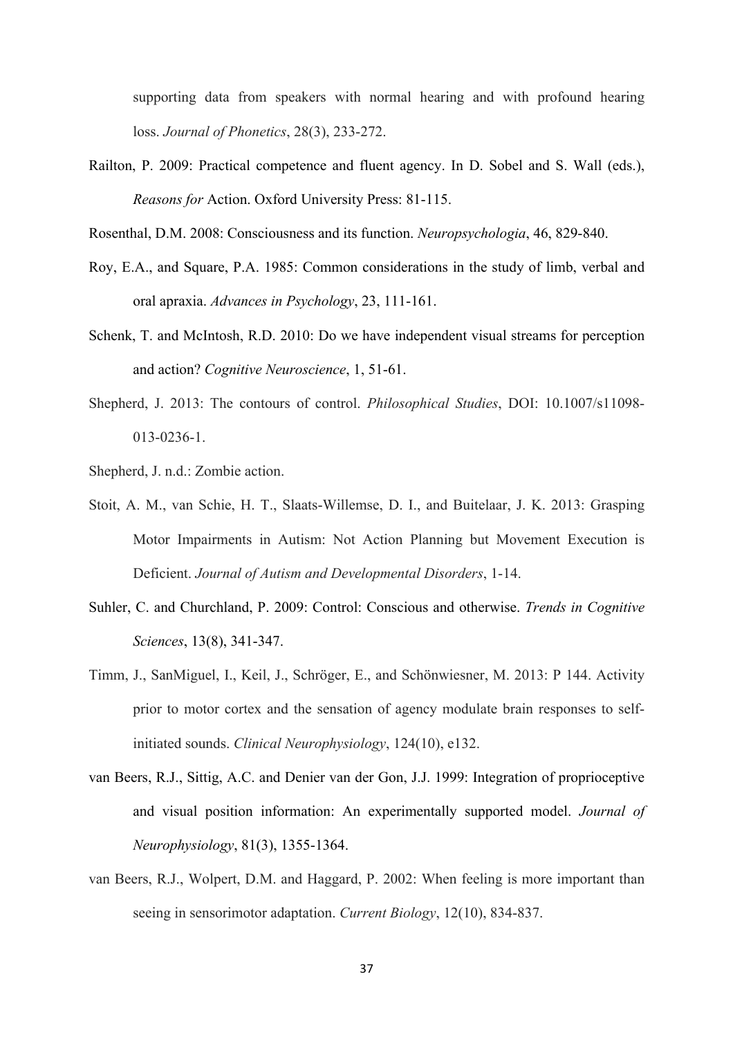supporting data from speakers with normal hearing and with profound hearing loss. *Journal of Phonetics*, 28(3), 233-272.

Railton, P. 2009: Practical competence and fluent agency. In D. Sobel and S. Wall (eds.), *Reasons for* Action. Oxford University Press: 81-115.

Rosenthal, D.M. 2008: Consciousness and its function. *Neuropsychologia*, 46, 829-840.

- Roy, E.A., and Square, P.A. 1985: Common considerations in the study of limb, verbal and oral apraxia. *Advances in Psychology*, 23, 111-161.
- Schenk, T. and McIntosh, R.D. 2010: Do we have independent visual streams for perception and action? *Cognitive Neuroscience*, 1, 51-61.
- Shepherd, J. 2013: The contours of control. *Philosophical Studies*, DOI: 10.1007/s11098- 013-0236-1.
- Shepherd, J. n.d.: Zombie action.
- Stoit, A. M., van Schie, H. T., Slaats-Willemse, D. I., and Buitelaar, J. K. 2013: Grasping Motor Impairments in Autism: Not Action Planning but Movement Execution is Deficient. *Journal of Autism and Developmental Disorders*, 1-14.
- Suhler, C. and Churchland, P. 2009: Control: Conscious and otherwise. *Trends in Cognitive Sciences*, 13(8), 341-347.
- Timm, J., SanMiguel, I., Keil, J., Schröger, E., and Schönwiesner, M. 2013: P 144. Activity prior to motor cortex and the sensation of agency modulate brain responses to selfinitiated sounds. *Clinical Neurophysiology*, 124(10), e132.
- van Beers, R.J., Sittig, A.C. and Denier van der Gon, J.J. 1999: Integration of proprioceptive and visual position information: An experimentally supported model. *Journal of Neurophysiology*, 81(3), 1355-1364.
- van Beers, R.J., Wolpert, D.M. and Haggard, P. 2002: When feeling is more important than seeing in sensorimotor adaptation. *Current Biology*, 12(10), 834-837.